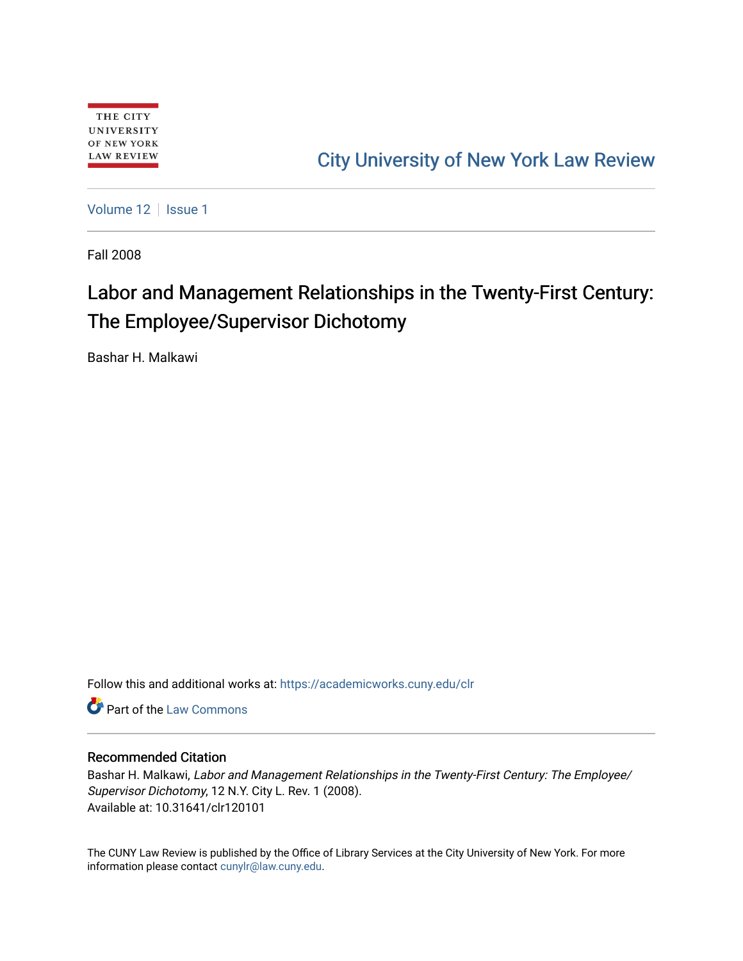# [City University of New York Law Review](https://academicworks.cuny.edu/clr)

[Volume 12](https://academicworks.cuny.edu/clr/vol12) | [Issue 1](https://academicworks.cuny.edu/clr/vol12/iss1)

Fall 2008

# Labor and Management Relationships in the Twenty-First Century: The Employee/Supervisor Dichotomy

Bashar H. Malkawi

Follow this and additional works at: [https://academicworks.cuny.edu/clr](https://academicworks.cuny.edu/clr?utm_source=academicworks.cuny.edu%2Fclr%2Fvol12%2Fiss1%2F2&utm_medium=PDF&utm_campaign=PDFCoverPages) 

**C** Part of the [Law Commons](http://network.bepress.com/hgg/discipline/578?utm_source=academicworks.cuny.edu%2Fclr%2Fvol12%2Fiss1%2F2&utm_medium=PDF&utm_campaign=PDFCoverPages)

# Recommended Citation

Bashar H. Malkawi, Labor and Management Relationships in the Twenty-First Century: The Employee/ Supervisor Dichotomy, 12 N.Y. City L. Rev. 1 (2008). Available at: 10.31641/clr120101

The CUNY Law Review is published by the Office of Library Services at the City University of New York. For more information please contact [cunylr@law.cuny.edu](mailto:cunylr@law.cuny.edu).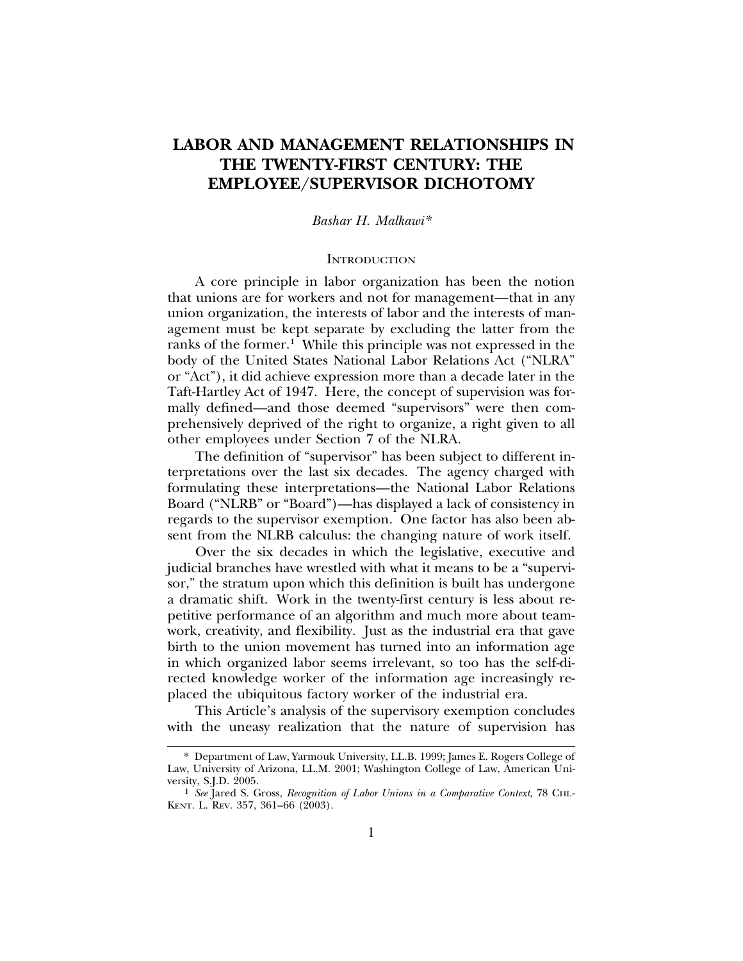# **LABOR AND MANAGEMENT RELATIONSHIPS IN THE TWENTY-FIRST CENTURY: THE EMPLOYEE/SUPERVISOR DICHOTOMY**

#### *Bashar H. Malkawi\**

# **INTRODUCTION**

A core principle in labor organization has been the notion that unions are for workers and not for management—that in any union organization, the interests of labor and the interests of management must be kept separate by excluding the latter from the ranks of the former.<sup>1</sup> While this principle was not expressed in the body of the United States National Labor Relations Act ("NLRA" or "Act"), it did achieve expression more than a decade later in the Taft-Hartley Act of 1947. Here, the concept of supervision was formally defined—and those deemed "supervisors" were then comprehensively deprived of the right to organize, a right given to all other employees under Section 7 of the NLRA.

The definition of "supervisor" has been subject to different interpretations over the last six decades. The agency charged with formulating these interpretations—the National Labor Relations Board ("NLRB" or "Board")—has displayed a lack of consistency in regards to the supervisor exemption. One factor has also been absent from the NLRB calculus: the changing nature of work itself.

Over the six decades in which the legislative, executive and judicial branches have wrestled with what it means to be a "supervisor," the stratum upon which this definition is built has undergone a dramatic shift. Work in the twenty-first century is less about repetitive performance of an algorithm and much more about teamwork, creativity, and flexibility. Just as the industrial era that gave birth to the union movement has turned into an information age in which organized labor seems irrelevant, so too has the self-directed knowledge worker of the information age increasingly replaced the ubiquitous factory worker of the industrial era.

This Article's analysis of the supervisory exemption concludes with the uneasy realization that the nature of supervision has

<sup>\*</sup> Department of Law, Yarmouk University, LL.B. 1999; James E. Rogers College of Law, University of Arizona, LL.M. 2001; Washington College of Law, American Uni-

<sup>&</sup>lt;sup>1</sup> See Jared S. Gross, *Recognition of Labor Unions in a Comparative Context*, 78 CHI.-KENT. L. REV. 357, 361–66 (2003).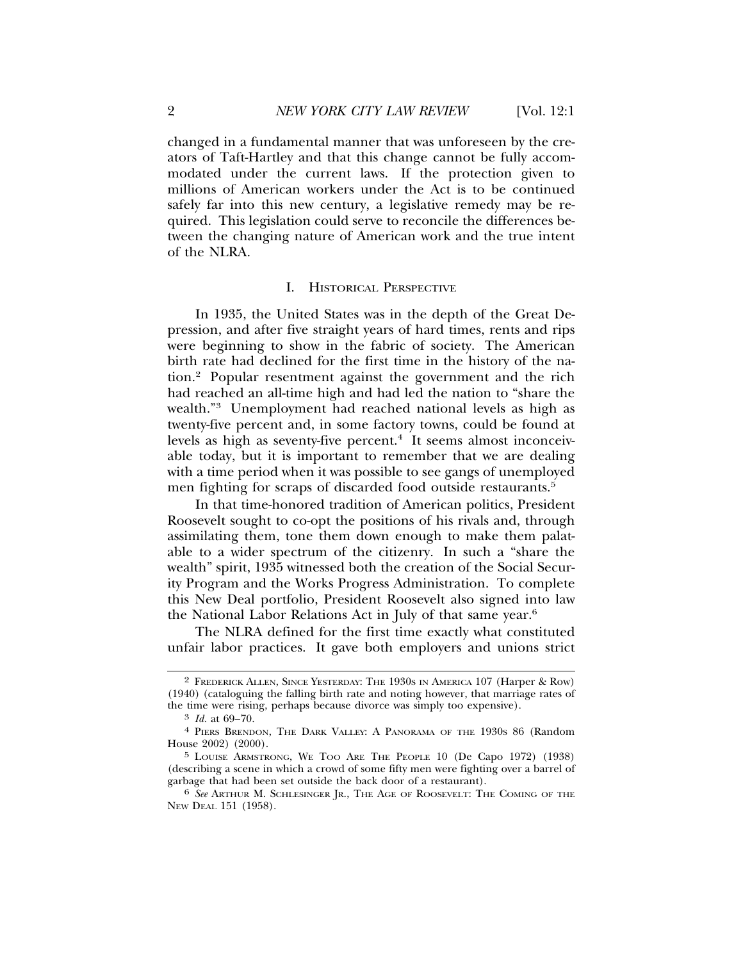changed in a fundamental manner that was unforeseen by the creators of Taft-Hartley and that this change cannot be fully accommodated under the current laws. If the protection given to millions of American workers under the Act is to be continued safely far into this new century, a legislative remedy may be required. This legislation could serve to reconcile the differences between the changing nature of American work and the true intent of the NLRA.

#### I. HISTORICAL PERSPECTIVE

In 1935, the United States was in the depth of the Great Depression, and after five straight years of hard times, rents and rips were beginning to show in the fabric of society. The American birth rate had declined for the first time in the history of the nation.2 Popular resentment against the government and the rich had reached an all-time high and had led the nation to "share the wealth."3 Unemployment had reached national levels as high as twenty-five percent and, in some factory towns, could be found at levels as high as seventy-five percent.<sup>4</sup> It seems almost inconceivable today, but it is important to remember that we are dealing with a time period when it was possible to see gangs of unemployed men fighting for scraps of discarded food outside restaurants.<sup>5</sup>

In that time-honored tradition of American politics, President Roosevelt sought to co-opt the positions of his rivals and, through assimilating them, tone them down enough to make them palatable to a wider spectrum of the citizenry. In such a "share the wealth" spirit, 1935 witnessed both the creation of the Social Security Program and the Works Progress Administration. To complete this New Deal portfolio, President Roosevelt also signed into law the National Labor Relations Act in July of that same year.6

The NLRA defined for the first time exactly what constituted unfair labor practices. It gave both employers and unions strict

<sup>2</sup> FREDERICK ALLEN, SINCE YESTERDAY: THE 1930S IN AMERICA 107 (Harper & Row) (1940) (cataloguing the falling birth rate and noting however, that marriage rates of the time were rising, perhaps because divorce was simply too expensive).

<sup>3</sup> *Id.* at 69–70.

<sup>4</sup> PIERS BRENDON, THE DARK VALLEY: A PANORAMA OF THE 1930S 86 (Random House 2002) (2000).

<sup>5</sup> LOUISE ARMSTRONG, WE TOO ARE THE PEOPLE 10 (De Capo 1972) (1938) (describing a scene in which a crowd of some fifty men were fighting over a barrel of garbage that had been set outside the back door of a restaurant).

<sup>6</sup> *See* ARTHUR M. SCHLESINGER JR., THE AGE OF ROOSEVELT: THE COMING OF THE NEW DEAL 151 (1958).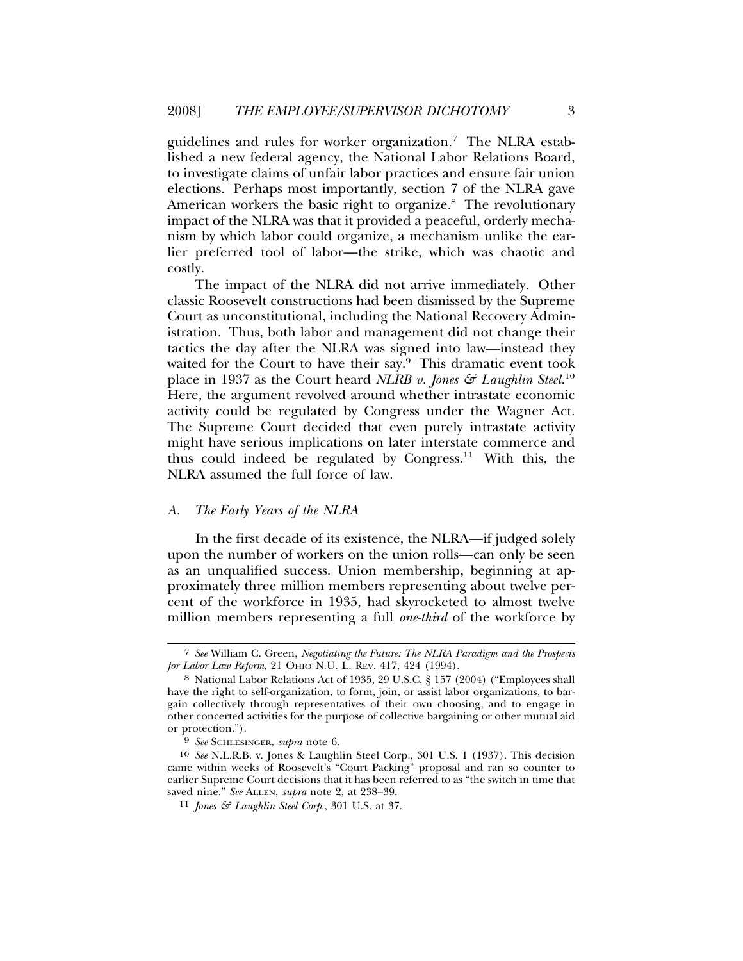guidelines and rules for worker organization.7 The NLRA established a new federal agency, the National Labor Relations Board, to investigate claims of unfair labor practices and ensure fair union elections. Perhaps most importantly, section 7 of the NLRA gave American workers the basic right to organize.<sup>8</sup> The revolutionary impact of the NLRA was that it provided a peaceful, orderly mechanism by which labor could organize, a mechanism unlike the earlier preferred tool of labor—the strike, which was chaotic and costly.

The impact of the NLRA did not arrive immediately. Other classic Roosevelt constructions had been dismissed by the Supreme Court as unconstitutional, including the National Recovery Administration. Thus, both labor and management did not change their tactics the day after the NLRA was signed into law—instead they waited for the Court to have their say.<sup>9</sup> This dramatic event took place in 1937 as the Court heard *NLRB v. Jones & Laughlin Steel.*<sup>10</sup> Here, the argument revolved around whether intrastate economic activity could be regulated by Congress under the Wagner Act. The Supreme Court decided that even purely intrastate activity might have serious implications on later interstate commerce and thus could indeed be regulated by Congress.11 With this, the NLRA assumed the full force of law.

### *A. The Early Years of the NLRA*

In the first decade of its existence, the NLRA—if judged solely upon the number of workers on the union rolls—can only be seen as an unqualified success. Union membership, beginning at approximately three million members representing about twelve percent of the workforce in 1935, had skyrocketed to almost twelve million members representing a full *one-third* of the workforce by

<sup>7</sup> *See* William C. Green, *Negotiating the Future: The NLRA Paradigm and the Prospects for Labor Law Reform*, 21 OHIO N.U. L. REV. 417, 424 (1994).

<sup>8</sup> National Labor Relations Act of 1935, 29 U.S.C. § 157 (2004) ("Employees shall have the right to self-organization, to form, join, or assist labor organizations, to bargain collectively through representatives of their own choosing, and to engage in other concerted activities for the purpose of collective bargaining or other mutual aid or protection.").

<sup>9</sup> *See* SCHLESINGER, *supra* note 6.

<sup>10</sup> *See* N.L.R.B. v. Jones & Laughlin Steel Corp., 301 U.S. 1 (1937). This decision came within weeks of Roosevelt's "Court Packing" proposal and ran so counter to earlier Supreme Court decisions that it has been referred to as "the switch in time that saved nine." *See* ALLEN, *supra* note 2, at 238–39.

<sup>11</sup> *Jones & Laughlin Steel Corp.*, 301 U.S. at 37.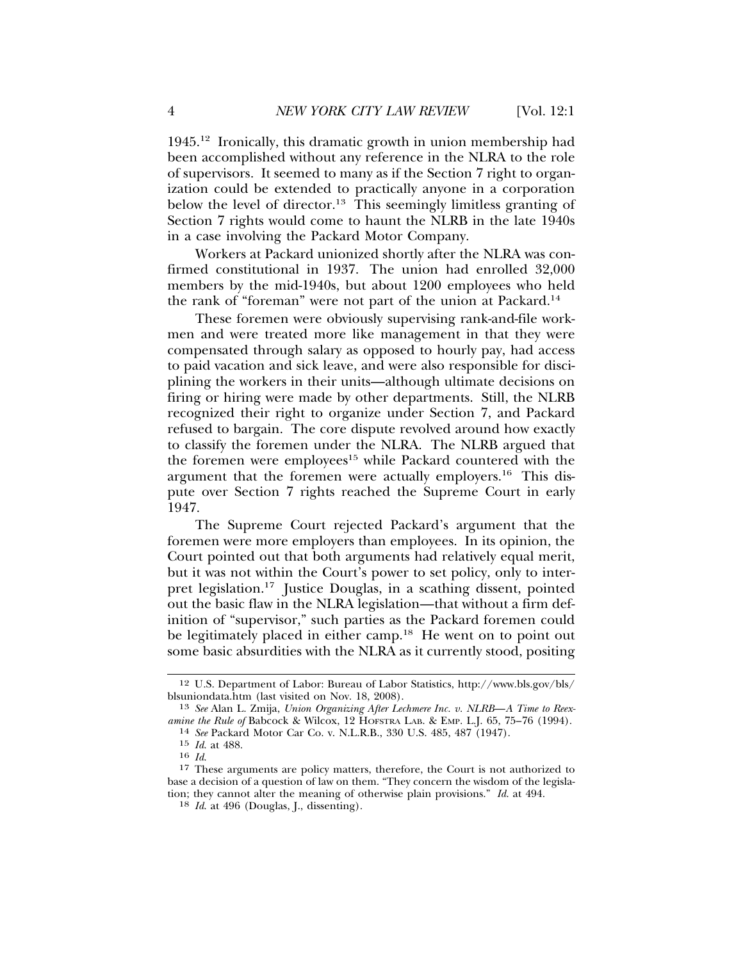1945.12 Ironically, this dramatic growth in union membership had been accomplished without any reference in the NLRA to the role of supervisors. It seemed to many as if the Section 7 right to organization could be extended to practically anyone in a corporation below the level of director.<sup>13</sup> This seemingly limitless granting of Section 7 rights would come to haunt the NLRB in the late 1940s in a case involving the Packard Motor Company.

Workers at Packard unionized shortly after the NLRA was confirmed constitutional in 1937. The union had enrolled 32,000 members by the mid-1940s, but about 1200 employees who held the rank of "foreman" were not part of the union at Packard.<sup>14</sup>

These foremen were obviously supervising rank-and-file workmen and were treated more like management in that they were compensated through salary as opposed to hourly pay, had access to paid vacation and sick leave, and were also responsible for disciplining the workers in their units—although ultimate decisions on firing or hiring were made by other departments. Still, the NLRB recognized their right to organize under Section 7, and Packard refused to bargain. The core dispute revolved around how exactly to classify the foremen under the NLRA. The NLRB argued that the foremen were employees<sup>15</sup> while Packard countered with the argument that the foremen were actually employers.<sup>16</sup> This dispute over Section 7 rights reached the Supreme Court in early 1947.

The Supreme Court rejected Packard's argument that the foremen were more employers than employees. In its opinion, the Court pointed out that both arguments had relatively equal merit, but it was not within the Court's power to set policy, only to interpret legislation.17 Justice Douglas, in a scathing dissent, pointed out the basic flaw in the NLRA legislation—that without a firm definition of "supervisor," such parties as the Packard foremen could be legitimately placed in either camp.<sup>18</sup> He went on to point out some basic absurdities with the NLRA as it currently stood, positing

<sup>12</sup> U.S. Department of Labor: Bureau of Labor Statistics, http://www.bls.gov/bls/ blsuniondata.htm (last visited on Nov. 18, 2008).

<sup>13</sup> *See* Alan L. Zmija, *Union Organizing After Lechmere Inc. v. NLRB*—*A Time to Reexamine the Rule of* Babcock & Wilcox, 12 HOFSTRA LAB. & EMP. L.J. 65, 75–76 (1994). <sup>14</sup> *See* Packard Motor Car Co. v. N.L.R.B., 330 U.S. 485, 487 (1947).

<sup>15</sup> *Id*. at 488.

<sup>&</sup>lt;sup>17</sup> These arguments are policy matters, therefore, the Court is not authorized to base a decision of a question of law on them. "They concern the wisdom of the legislation; they cannot alter the meaning of otherwise plain provisions." *Id*. at 494.

<sup>18</sup> *Id*. at 496 (Douglas, J., dissenting).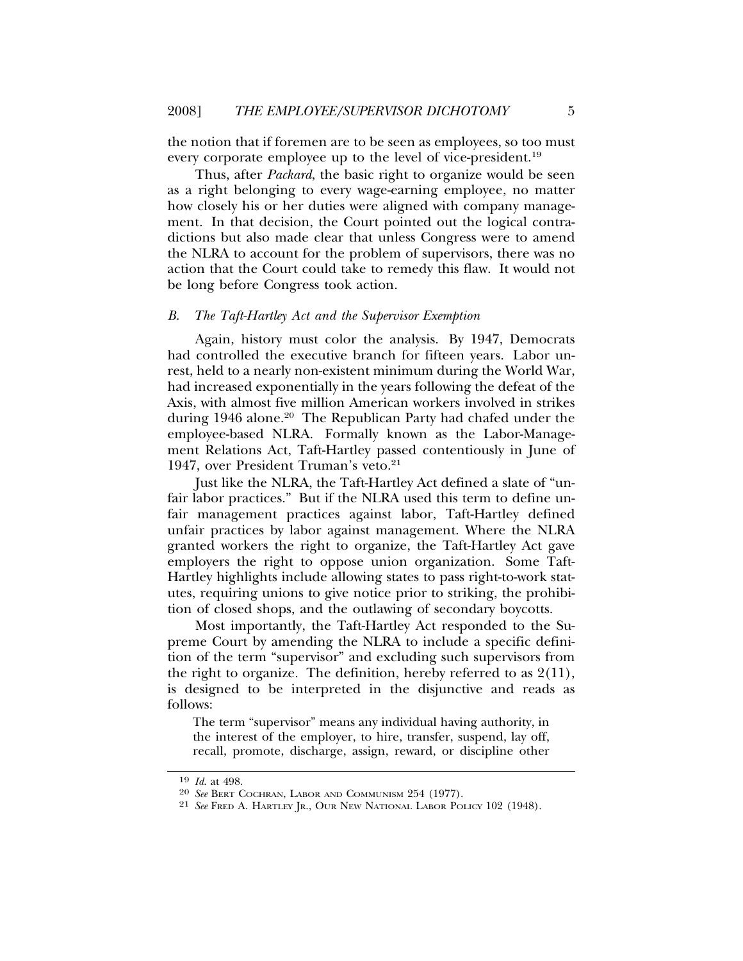the notion that if foremen are to be seen as employees, so too must every corporate employee up to the level of vice-president.<sup>19</sup>

Thus, after *Packard*, the basic right to organize would be seen as a right belonging to every wage-earning employee, no matter how closely his or her duties were aligned with company management. In that decision, the Court pointed out the logical contradictions but also made clear that unless Congress were to amend the NLRA to account for the problem of supervisors, there was no action that the Court could take to remedy this flaw. It would not be long before Congress took action.

#### *B. The Taft-Hartley Act and the Supervisor Exemption*

Again, history must color the analysis. By 1947, Democrats had controlled the executive branch for fifteen years. Labor unrest, held to a nearly non-existent minimum during the World War, had increased exponentially in the years following the defeat of the Axis, with almost five million American workers involved in strikes during 1946 alone.<sup>20</sup> The Republican Party had chafed under the employee-based NLRA. Formally known as the Labor-Management Relations Act, Taft-Hartley passed contentiously in June of 1947, over President Truman's veto.<sup>21</sup>

Just like the NLRA, the Taft-Hartley Act defined a slate of "unfair labor practices." But if the NLRA used this term to define unfair management practices against labor, Taft-Hartley defined unfair practices by labor against management. Where the NLRA granted workers the right to organize, the Taft-Hartley Act gave employers the right to oppose union organization. Some Taft-Hartley highlights include allowing states to pass right-to-work statutes, requiring unions to give notice prior to striking, the prohibition of closed shops, and the outlawing of secondary boycotts.

Most importantly, the Taft-Hartley Act responded to the Supreme Court by amending the NLRA to include a specific definition of the term "supervisor" and excluding such supervisors from the right to organize. The definition, hereby referred to as 2(11), is designed to be interpreted in the disjunctive and reads as follows:

The term "supervisor" means any individual having authority, in the interest of the employer, to hire, transfer, suspend, lay off, recall, promote, discharge, assign, reward, or discipline other

<sup>19</sup> *Id*. at 498.

<sup>20</sup> *See* BERT COCHRAN, LABOR AND COMMUNISM 254 (1977).

<sup>21</sup> *See* FRED A. HARTLEY JR., OUR NEW NATIONAL LABOR POLICY 102 (1948).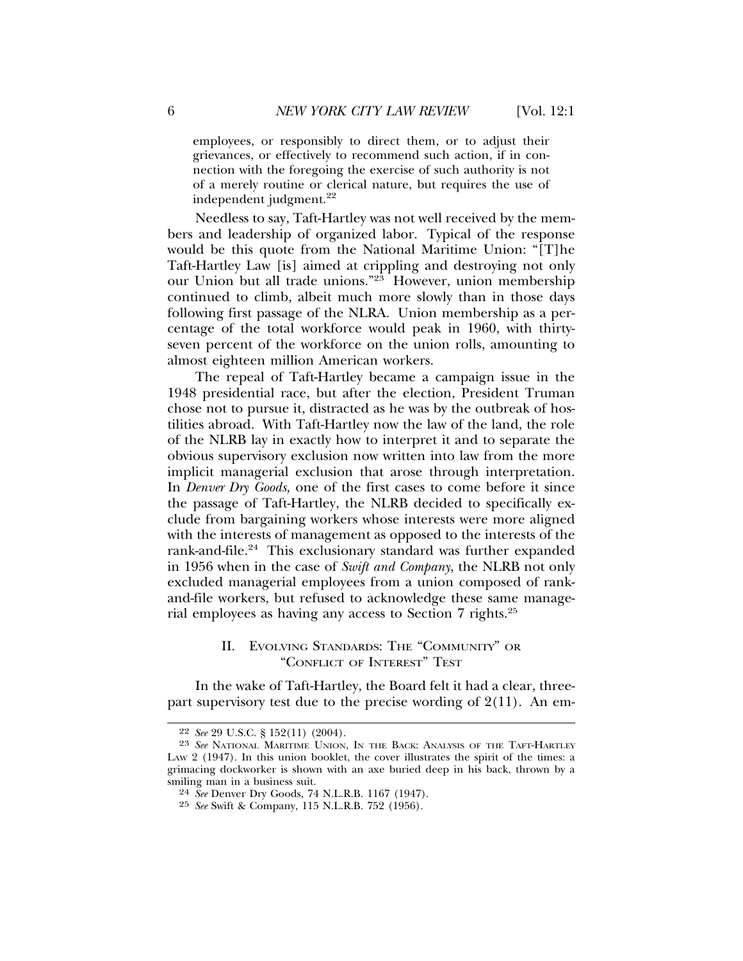employees, or responsibly to direct them, or to adjust their grievances, or effectively to recommend such action, if in connection with the foregoing the exercise of such authority is not of a merely routine or clerical nature, but requires the use of independent judgment.<sup>22</sup>

Needless to say, Taft-Hartley was not well received by the members and leadership of organized labor. Typical of the response would be this quote from the National Maritime Union: "[T]he Taft-Hartley Law [is] aimed at crippling and destroying not only our Union but all trade unions."<sup>23</sup> However, union membership continued to climb, albeit much more slowly than in those days following first passage of the NLRA. Union membership as a percentage of the total workforce would peak in 1960, with thirtyseven percent of the workforce on the union rolls, amounting to almost eighteen million American workers.

The repeal of Taft-Hartley became a campaign issue in the 1948 presidential race, but after the election, President Truman chose not to pursue it, distracted as he was by the outbreak of hostilities abroad. With Taft-Hartley now the law of the land, the role of the NLRB lay in exactly how to interpret it and to separate the obvious supervisory exclusion now written into law from the more implicit managerial exclusion that arose through interpretation. In *Denver Dry Goods,* one of the first cases to come before it since the passage of Taft-Hartley, the NLRB decided to specifically exclude from bargaining workers whose interests were more aligned with the interests of management as opposed to the interests of the rank-and-file.<sup>24</sup> This exclusionary standard was further expanded in 1956 when in the case of *Swift and Company*, the NLRB not only excluded managerial employees from a union composed of rankand-file workers, but refused to acknowledge these same managerial employees as having any access to Section 7 rights.25

# II. EVOLVING STANDARDS: THE "COMMUNITY" OR "CONFLICT OF INTEREST" TEST

In the wake of Taft-Hartley, the Board felt it had a clear, threepart supervisory test due to the precise wording of  $2(11)$ . An em-

<sup>22</sup> *See* 29 U.S.C. § 152(11) (2004).

<sup>23</sup> *See* NATIONAL MARITIME UNION, IN THE BACK: ANALYSIS OF THE TAFT-HARTLEY LAW 2 (1947). In this union booklet, the cover illustrates the spirit of the times: a grimacing dockworker is shown with an axe buried deep in his back, thrown by a smiling man in a business suit.

<sup>24</sup> *See* Denver Dry Goods, 74 N.L.R.B. 1167 (1947).

<sup>25</sup> *See* Swift & Company, 115 N.L.R.B. 752 (1956).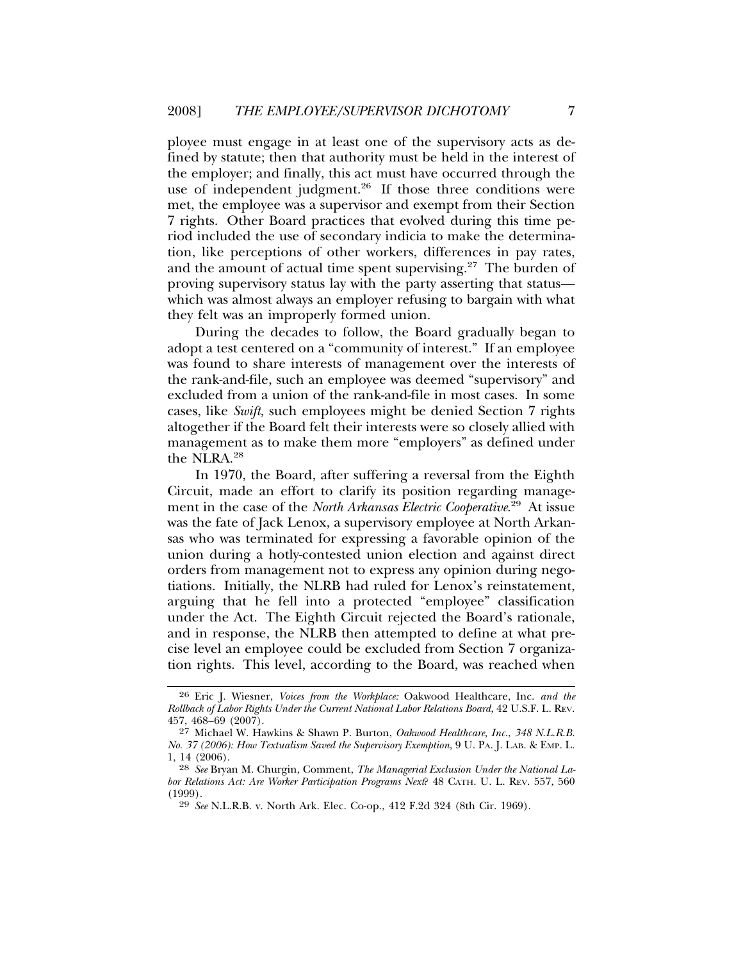ployee must engage in at least one of the supervisory acts as defined by statute; then that authority must be held in the interest of the employer; and finally, this act must have occurred through the use of independent judgment.<sup>26</sup> If those three conditions were met, the employee was a supervisor and exempt from their Section 7 rights. Other Board practices that evolved during this time period included the use of secondary indicia to make the determination, like perceptions of other workers, differences in pay rates, and the amount of actual time spent supervising. $27$  The burden of proving supervisory status lay with the party asserting that status which was almost always an employer refusing to bargain with what they felt was an improperly formed union.

During the decades to follow, the Board gradually began to adopt a test centered on a "community of interest." If an employee was found to share interests of management over the interests of the rank-and-file, such an employee was deemed "supervisory" and excluded from a union of the rank-and-file in most cases. In some cases, like *Swift,* such employees might be denied Section 7 rights altogether if the Board felt their interests were so closely allied with management as to make them more "employers" as defined under the NLRA.28

In 1970, the Board, after suffering a reversal from the Eighth Circuit, made an effort to clarify its position regarding management in the case of the *North Arkansas Electric Cooperative*. 29 At issue was the fate of Jack Lenox, a supervisory employee at North Arkansas who was terminated for expressing a favorable opinion of the union during a hotly-contested union election and against direct orders from management not to express any opinion during negotiations. Initially, the NLRB had ruled for Lenox's reinstatement, arguing that he fell into a protected "employee" classification under the Act. The Eighth Circuit rejected the Board's rationale, and in response, the NLRB then attempted to define at what precise level an employee could be excluded from Section 7 organization rights. This level, according to the Board, was reached when

<sup>26</sup> Eric J. Wiesner, *Voices from the Workplace:* Oakwood Healthcare, Inc. *and the Rollback of Labor Rights Under the Current National Labor Relations Board*, 42 U.S.F. L. REV. 457, 468–69 (2007).

<sup>27</sup> Michael W. Hawkins & Shawn P. Burton, *Oakwood Healthcare, Inc.*, *348 N.L.R.B. No. 37 (2006): How Textualism Saved the Supervisory Exemption*, 9 U. PA. J. LAB. & EMP. L. 1, 14 (2006).

<sup>28</sup> *See* Bryan M. Churgin, Comment, *The Managerial Exclusion Under the National Labor Relations Act: Are Worker Participation Programs Next*? 48 CATH. U. L. REV. 557, 560 (1999).

<sup>29</sup> *See* N.L.R.B. v. North Ark. Elec. Co-op., 412 F.2d 324 (8th Cir. 1969).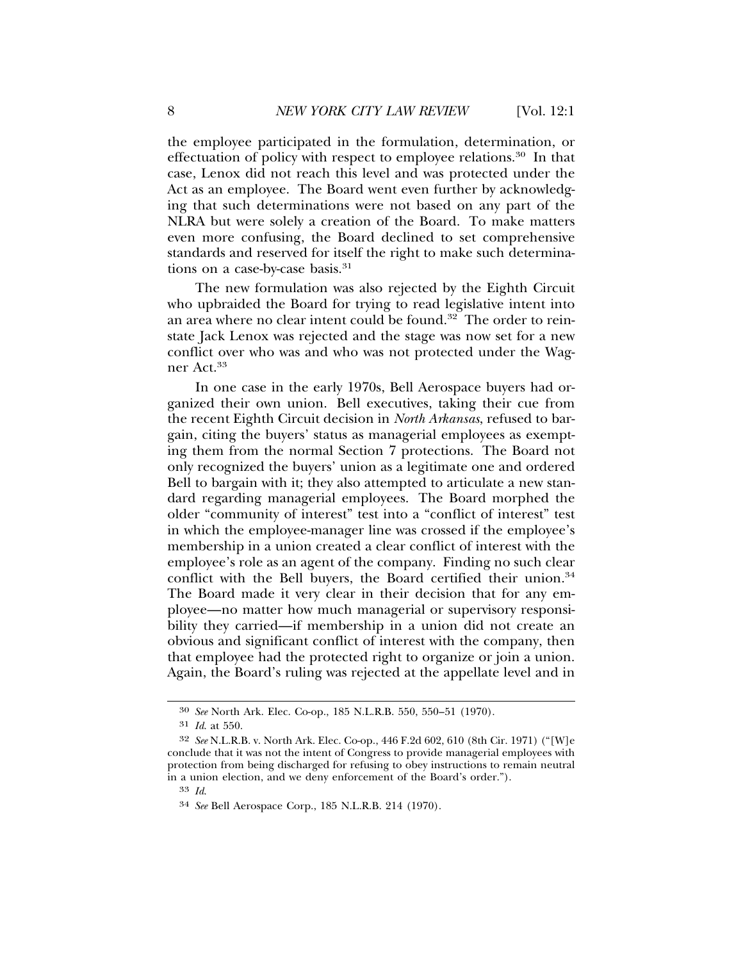the employee participated in the formulation, determination, or effectuation of policy with respect to employee relations.30 In that case, Lenox did not reach this level and was protected under the Act as an employee. The Board went even further by acknowledging that such determinations were not based on any part of the NLRA but were solely a creation of the Board. To make matters even more confusing, the Board declined to set comprehensive standards and reserved for itself the right to make such determinations on a case-by-case basis.<sup>31</sup>

The new formulation was also rejected by the Eighth Circuit who upbraided the Board for trying to read legislative intent into an area where no clear intent could be found.32 The order to reinstate Jack Lenox was rejected and the stage was now set for a new conflict over who was and who was not protected under the Wagner Act.33

In one case in the early 1970s, Bell Aerospace buyers had organized their own union. Bell executives, taking their cue from the recent Eighth Circuit decision in *North Arkansas*, refused to bargain, citing the buyers' status as managerial employees as exempting them from the normal Section 7 protections. The Board not only recognized the buyers' union as a legitimate one and ordered Bell to bargain with it; they also attempted to articulate a new standard regarding managerial employees. The Board morphed the older "community of interest" test into a "conflict of interest" test in which the employee-manager line was crossed if the employee's membership in a union created a clear conflict of interest with the employee's role as an agent of the company. Finding no such clear conflict with the Bell buyers, the Board certified their union.<sup>34</sup> The Board made it very clear in their decision that for any employee—no matter how much managerial or supervisory responsibility they carried—if membership in a union did not create an obvious and significant conflict of interest with the company, then that employee had the protected right to organize or join a union. Again, the Board's ruling was rejected at the appellate level and in

<sup>30</sup> *See* North Ark. Elec. Co-op., 185 N.L.R.B. 550, 550–51 (1970).

<sup>31</sup> *Id*. at 550.

<sup>32</sup> *See* N.L.R.B. v. North Ark. Elec. Co-op., 446 F.2d 602, 610 (8th Cir. 1971) ("[W]e conclude that it was not the intent of Congress to provide managerial employees with protection from being discharged for refusing to obey instructions to remain neutral in a union election, and we deny enforcement of the Board's order.").

<sup>33</sup> *Id*.

<sup>34</sup> *See* Bell Aerospace Corp., 185 N.L.R.B. 214 (1970).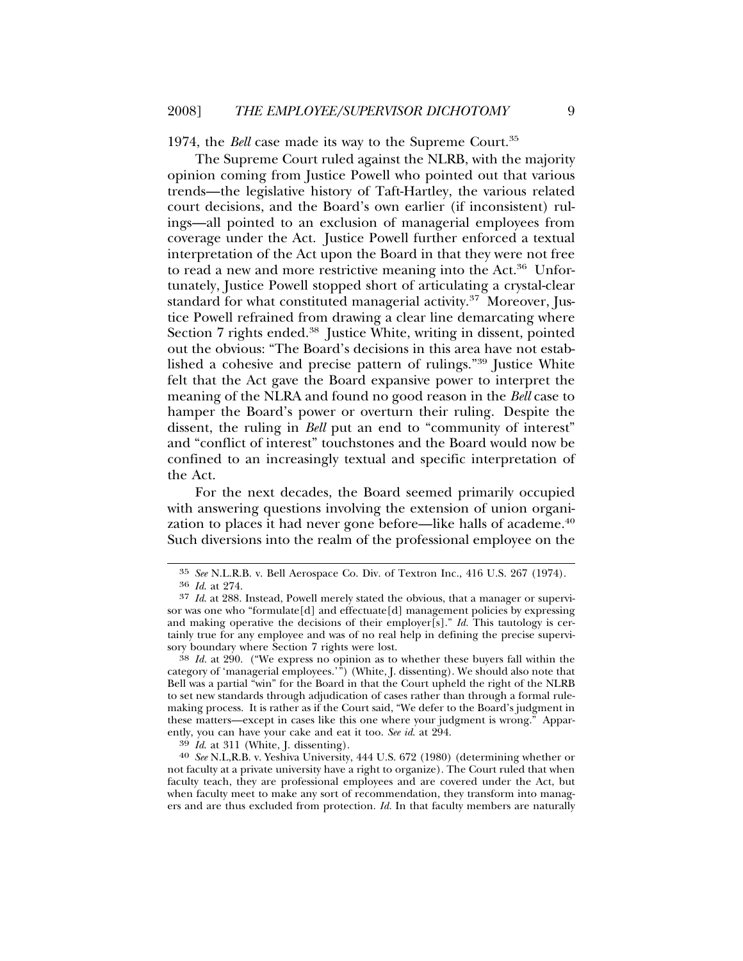1974, the *Bell* case made its way to the Supreme Court.35

The Supreme Court ruled against the NLRB, with the majority opinion coming from Justice Powell who pointed out that various trends—the legislative history of Taft-Hartley, the various related court decisions, and the Board's own earlier (if inconsistent) rulings—all pointed to an exclusion of managerial employees from coverage under the Act. Justice Powell further enforced a textual interpretation of the Act upon the Board in that they were not free to read a new and more restrictive meaning into the Act.<sup>36</sup> Unfortunately, Justice Powell stopped short of articulating a crystal-clear standard for what constituted managerial activity.<sup>37</sup> Moreover, Justice Powell refrained from drawing a clear line demarcating where Section 7 rights ended.<sup>38</sup> Justice White, writing in dissent, pointed out the obvious: "The Board's decisions in this area have not established a cohesive and precise pattern of rulings."39 Justice White felt that the Act gave the Board expansive power to interpret the meaning of the NLRA and found no good reason in the *Bell* case to hamper the Board's power or overturn their ruling. Despite the dissent, the ruling in *Bell* put an end to "community of interest" and "conflict of interest" touchstones and the Board would now be confined to an increasingly textual and specific interpretation of the Act.

For the next decades, the Board seemed primarily occupied with answering questions involving the extension of union organization to places it had never gone before—like halls of academe.<sup>40</sup> Such diversions into the realm of the professional employee on the

<sup>35</sup> *See* N.L.R.B. v. Bell Aerospace Co. Div. of Textron Inc., 416 U.S. 267 (1974). <sup>36</sup> *Id*. at 274.

<sup>37</sup> *Id*. at 288. Instead, Powell merely stated the obvious, that a manager or supervisor was one who "formulate[d] and effectuate[d] management policies by expressing and making operative the decisions of their employer[s]." *Id.* This tautology is certainly true for any employee and was of no real help in defining the precise supervisory boundary where Section 7 rights were lost.

<sup>38</sup> *Id.* at 290. ("We express no opinion as to whether these buyers fall within the category of 'managerial employees.'") (White, J. dissenting). We should also note that Bell was a partial "win" for the Board in that the Court upheld the right of the NLRB to set new standards through adjudication of cases rather than through a formal rulemaking process. It is rather as if the Court said, "We defer to the Board's judgment in these matters—except in cases like this one where your judgment is wrong." Apparently, you can have your cake and eat it too. *See id.* at 294.<br><sup>39</sup> *Id.* at 311 (White, J. dissenting).<br><sup>40</sup> *See* N.L,R.B. v. Yeshiva University, 444 U.S. 672 (1980) (determining whether or

not faculty at a private university have a right to organize). The Court ruled that when faculty teach, they are professional employees and are covered under the Act, but when faculty meet to make any sort of recommendation, they transform into managers and are thus excluded from protection. *Id.* In that faculty members are naturally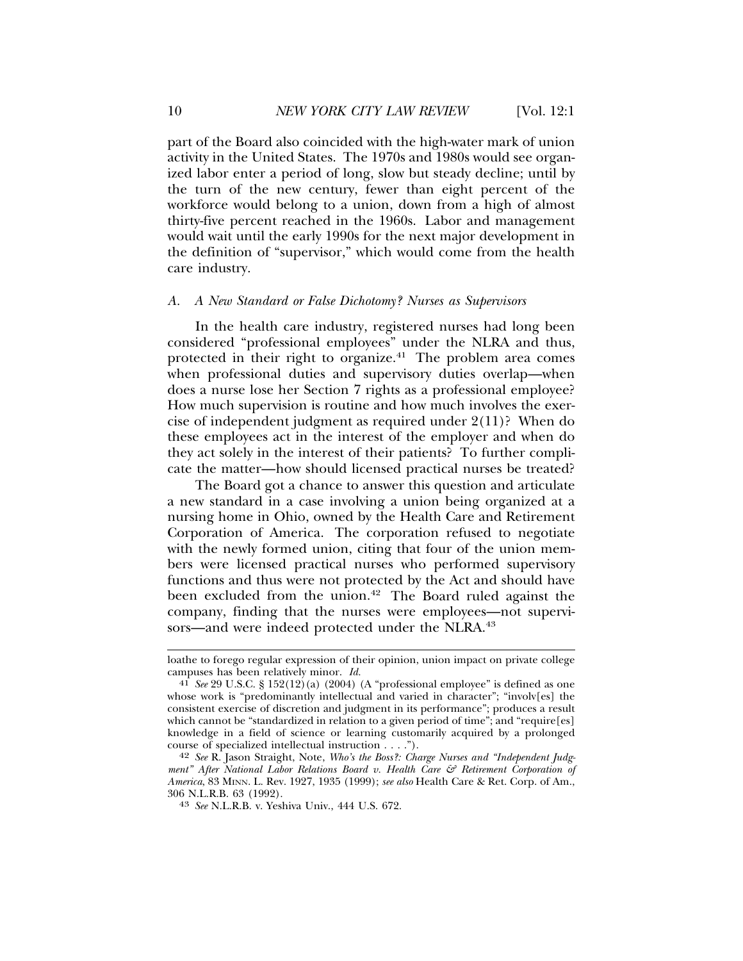part of the Board also coincided with the high-water mark of union activity in the United States. The 1970s and 1980s would see organized labor enter a period of long, slow but steady decline; until by the turn of the new century, fewer than eight percent of the workforce would belong to a union, down from a high of almost thirty-five percent reached in the 1960s. Labor and management would wait until the early 1990s for the next major development in the definition of "supervisor," which would come from the health care industry.

#### *A. A New Standard or False Dichotomy? Nurses as Supervisors*

In the health care industry, registered nurses had long been considered "professional employees" under the NLRA and thus, protected in their right to organize. $41$  The problem area comes when professional duties and supervisory duties overlap—when does a nurse lose her Section 7 rights as a professional employee? How much supervision is routine and how much involves the exercise of independent judgment as required under 2(11)? When do these employees act in the interest of the employer and when do they act solely in the interest of their patients? To further complicate the matter—how should licensed practical nurses be treated?

The Board got a chance to answer this question and articulate a new standard in a case involving a union being organized at a nursing home in Ohio, owned by the Health Care and Retirement Corporation of America. The corporation refused to negotiate with the newly formed union, citing that four of the union members were licensed practical nurses who performed supervisory functions and thus were not protected by the Act and should have been excluded from the union.<sup>42</sup> The Board ruled against the company, finding that the nurses were employees—not supervisors—and were indeed protected under the NLRA.<sup>43</sup>

loathe to forego regular expression of their opinion, union impact on private college campuses has been relatively minor.  $Id$ .

<sup>&</sup>lt;sup>41</sup> *See* 29 U.S.C. § 152(12)(a) (2004) (A "professional employee" is defined as one whose work is "predominantly intellectual and varied in character"; "involv[es] the consistent exercise of discretion and judgment in its performance"; produces a result which cannot be "standardized in relation to a given period of time"; and "require[es] knowledge in a field of science or learning customarily acquired by a prolonged course of specialized intellectual instruction . . . .").

<sup>42</sup> *See* R. Jason Straight, Note, *Who's the Boss?: Charge Nurses and "Independent Judgment" After National Labor Relations Board v. Health Care & Retirement Corporation of America*, 83 MINN. L. Rev. 1927, 1935 (1999); *see also* Health Care & Ret. Corp. of Am.,

<sup>&</sup>lt;sup>43</sup> See N.L.R.B. v. Yeshiva Univ., 444 U.S. 672.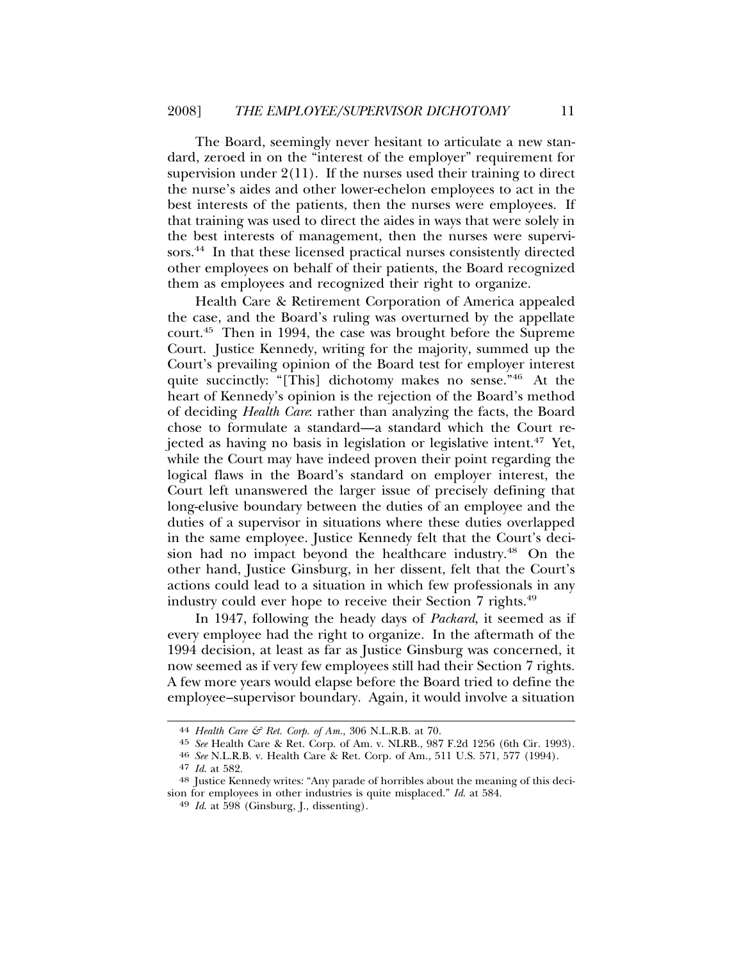The Board, seemingly never hesitant to articulate a new standard, zeroed in on the "interest of the employer" requirement for supervision under  $2(11)$ . If the nurses used their training to direct the nurse's aides and other lower-echelon employees to act in the best interests of the patients, then the nurses were employees. If that training was used to direct the aides in ways that were solely in the best interests of management, then the nurses were supervisors.<sup>44</sup> In that these licensed practical nurses consistently directed other employees on behalf of their patients, the Board recognized them as employees and recognized their right to organize.

Health Care & Retirement Corporation of America appealed the case, and the Board's ruling was overturned by the appellate court.45 Then in 1994, the case was brought before the Supreme Court. Justice Kennedy, writing for the majority, summed up the Court's prevailing opinion of the Board test for employer interest quite succinctly: "[This] dichotomy makes no sense."46 At the heart of Kennedy's opinion is the rejection of the Board's method of deciding *Health Care*: rather than analyzing the facts, the Board chose to formulate a standard—a standard which the Court rejected as having no basis in legislation or legislative intent.47 Yet, while the Court may have indeed proven their point regarding the logical flaws in the Board's standard on employer interest, the Court left unanswered the larger issue of precisely defining that long-elusive boundary between the duties of an employee and the duties of a supervisor in situations where these duties overlapped in the same employee. Justice Kennedy felt that the Court's decision had no impact beyond the healthcare industry.48 On the other hand, Justice Ginsburg, in her dissent, felt that the Court's actions could lead to a situation in which few professionals in any industry could ever hope to receive their Section 7 rights.<sup>49</sup>

In 1947, following the heady days of *Packard*, it seemed as if every employee had the right to organize. In the aftermath of the 1994 decision, at least as far as Justice Ginsburg was concerned, it now seemed as if very few employees still had their Section 7 rights. A few more years would elapse before the Board tried to define the employee–supervisor boundary. Again, it would involve a situation

<sup>44</sup> *Health Care & Ret. Corp. of Am.*, 306 N.L.R.B. at 70.

<sup>45</sup> *See* Health Care & Ret. Corp. of Am. v. NLRB., 987 F.2d 1256 (6th Cir. 1993). <sup>46</sup> *See* N.L.R.B. v. Health Care & Ret. Corp. of Am., 511 U.S. 571, 577 (1994).

<sup>&</sup>lt;sup>48</sup> Justice Kennedy writes: "Any parade of horribles about the meaning of this decision for employees in other industries is quite misplaced." *Id*. at 584. <sup>49</sup> *Id*. at 598 (Ginsburg, J., dissenting).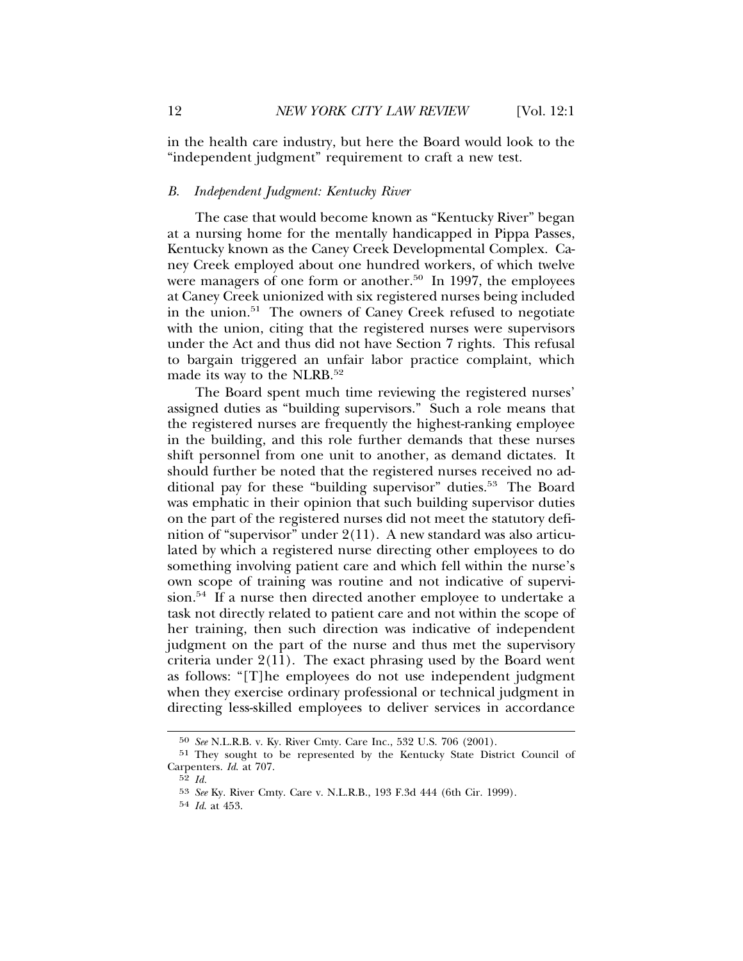in the health care industry, but here the Board would look to the "independent judgment" requirement to craft a new test.

#### *B. Independent Judgment: Kentucky River*

The case that would become known as "Kentucky River" began at a nursing home for the mentally handicapped in Pippa Passes, Kentucky known as the Caney Creek Developmental Complex. Caney Creek employed about one hundred workers, of which twelve were managers of one form or another.<sup>50</sup> In 1997, the employees at Caney Creek unionized with six registered nurses being included in the union.51 The owners of Caney Creek refused to negotiate with the union, citing that the registered nurses were supervisors under the Act and thus did not have Section 7 rights. This refusal to bargain triggered an unfair labor practice complaint, which made its way to the NLRB.<sup>52</sup>

The Board spent much time reviewing the registered nurses' assigned duties as "building supervisors." Such a role means that the registered nurses are frequently the highest-ranking employee in the building, and this role further demands that these nurses shift personnel from one unit to another, as demand dictates. It should further be noted that the registered nurses received no additional pay for these "building supervisor" duties.<sup>53</sup> The Board was emphatic in their opinion that such building supervisor duties on the part of the registered nurses did not meet the statutory definition of "supervisor" under 2(11). A new standard was also articulated by which a registered nurse directing other employees to do something involving patient care and which fell within the nurse's own scope of training was routine and not indicative of supervision.54 If a nurse then directed another employee to undertake a task not directly related to patient care and not within the scope of her training, then such direction was indicative of independent judgment on the part of the nurse and thus met the supervisory criteria under 2(11). The exact phrasing used by the Board went as follows: "[T]he employees do not use independent judgment when they exercise ordinary professional or technical judgment in directing less-skilled employees to deliver services in accordance

<sup>50</sup> *See* N.L.R.B. v. Ky. River Cmty. Care Inc., 532 U.S. 706 (2001).

<sup>51</sup> They sought to be represented by the Kentucky State District Council of Carpenters. *Id*. at 707.

<sup>52</sup> *Id.*

<sup>53</sup> *See* Ky. River Cmty. Care v. N.L.R.B., 193 F.3d 444 (6th Cir. 1999).

<sup>54</sup> *Id*. at 453.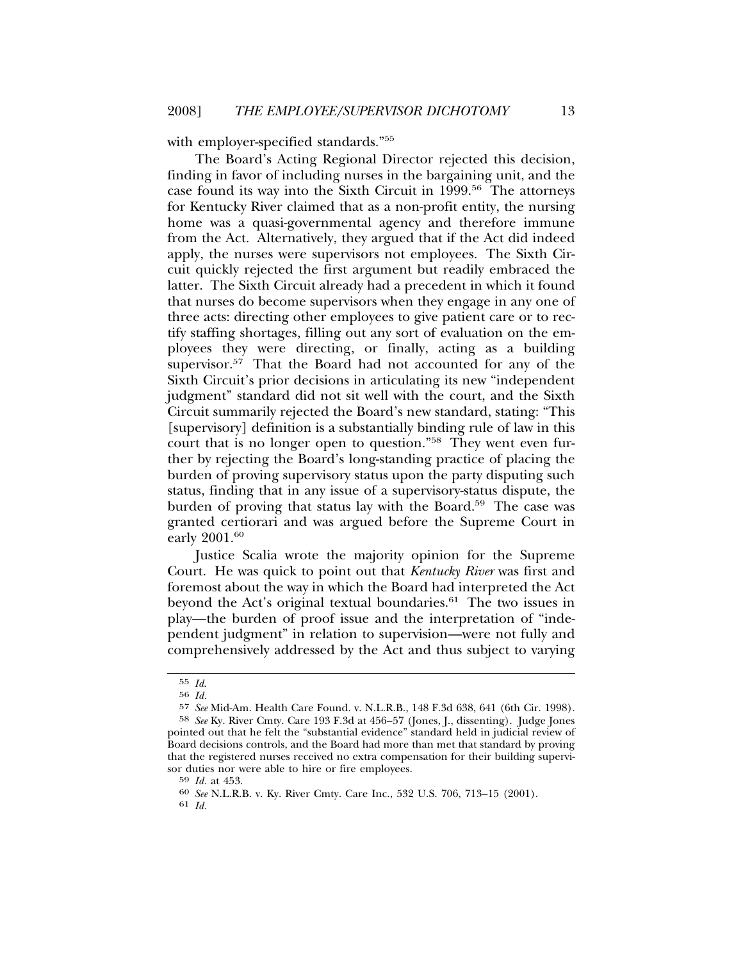with employer-specified standards."55

The Board's Acting Regional Director rejected this decision, finding in favor of including nurses in the bargaining unit, and the case found its way into the Sixth Circuit in 1999.56 The attorneys for Kentucky River claimed that as a non-profit entity, the nursing home was a quasi-governmental agency and therefore immune from the Act. Alternatively, they argued that if the Act did indeed apply, the nurses were supervisors not employees. The Sixth Circuit quickly rejected the first argument but readily embraced the latter. The Sixth Circuit already had a precedent in which it found that nurses do become supervisors when they engage in any one of three acts: directing other employees to give patient care or to rectify staffing shortages, filling out any sort of evaluation on the employees they were directing, or finally, acting as a building supervisor.<sup>57</sup> That the Board had not accounted for any of the Sixth Circuit's prior decisions in articulating its new "independent judgment" standard did not sit well with the court, and the Sixth Circuit summarily rejected the Board's new standard, stating: "This [supervisory] definition is a substantially binding rule of law in this court that is no longer open to question."58 They went even further by rejecting the Board's long-standing practice of placing the burden of proving supervisory status upon the party disputing such status, finding that in any issue of a supervisory-status dispute, the burden of proving that status lay with the Board.<sup>59</sup> The case was granted certiorari and was argued before the Supreme Court in early 2001.<sup>60</sup>

Justice Scalia wrote the majority opinion for the Supreme Court. He was quick to point out that *Kentucky River* was first and foremost about the way in which the Board had interpreted the Act beyond the Act's original textual boundaries.<sup>61</sup> The two issues in play—the burden of proof issue and the interpretation of "independent judgment" in relation to supervision—were not fully and comprehensively addressed by the Act and thus subject to varying

<sup>55</sup> *Id*. <sup>56</sup> *Id.*

<sup>57</sup> *See* Mid-Am. Health Care Found. v. N.L.R.B., 148 F.3d 638, 641 (6th Cir. 1998). 58 *See* Ky. River Cmty. Care 193 F.3d at 456–57 (Jones, J., dissenting). Judge Jones pointed out that he felt the "substantial evidence" standard held in judicial review of Board decisions controls, and the Board had more than met that standard by proving that the registered nurses received no extra compensation for their building supervisor duties nor were able to hire or fire employees.<br> $59$  *Id.* at 453.

<sup>59</sup> *Id.* at 453. <sup>60</sup> *See* N.L.R.B. v. Ky. River Cmty. Care Inc., 532 U.S. 706, 713–15 (2001).

<sup>61</sup> *Id.*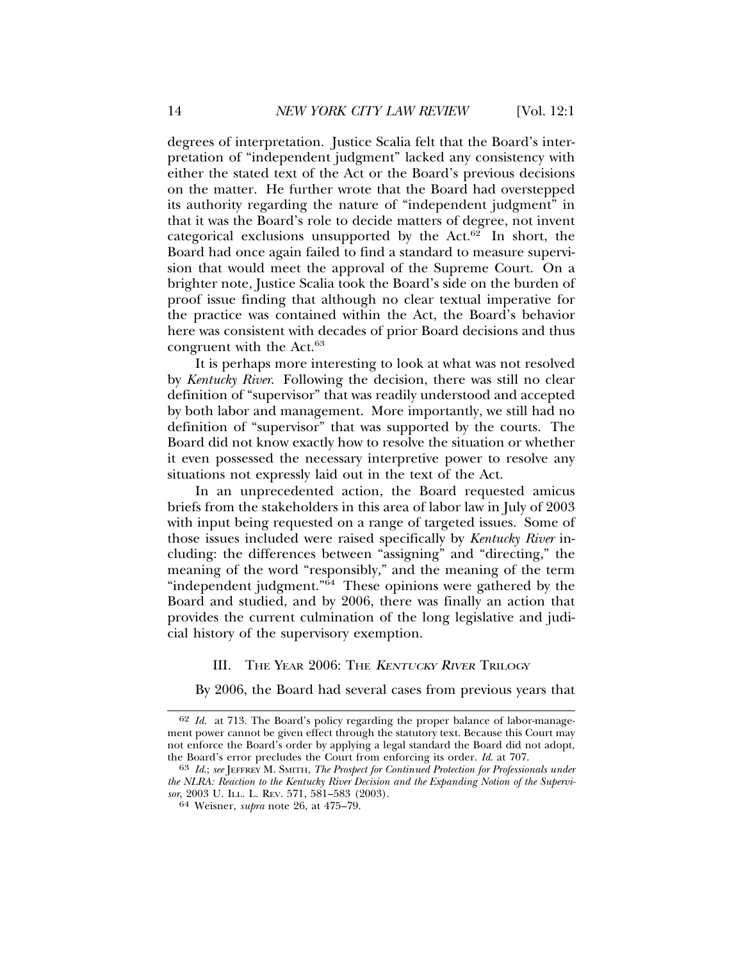degrees of interpretation. Justice Scalia felt that the Board's interpretation of "independent judgment" lacked any consistency with either the stated text of the Act or the Board's previous decisions on the matter. He further wrote that the Board had overstepped its authority regarding the nature of "independent judgment" in that it was the Board's role to decide matters of degree, not invent categorical exclusions unsupported by the Act. $62$  In short, the Board had once again failed to find a standard to measure supervision that would meet the approval of the Supreme Court. On a brighter note, Justice Scalia took the Board's side on the burden of proof issue finding that although no clear textual imperative for the practice was contained within the Act, the Board's behavior here was consistent with decades of prior Board decisions and thus congruent with the Act.<sup>63</sup>

It is perhaps more interesting to look at what was not resolved by *Kentucky River*. Following the decision, there was still no clear definition of "supervisor" that was readily understood and accepted by both labor and management. More importantly, we still had no definition of "supervisor" that was supported by the courts. The Board did not know exactly how to resolve the situation or whether it even possessed the necessary interpretive power to resolve any situations not expressly laid out in the text of the Act.

In an unprecedented action, the Board requested amicus briefs from the stakeholders in this area of labor law in July of 2003 with input being requested on a range of targeted issues. Some of those issues included were raised specifically by *Kentucky River* including: the differences between "assigning" and "directing," the meaning of the word "responsibly," and the meaning of the term "independent judgment." $\overline{64}$  These opinions were gathered by the Board and studied, and by 2006, there was finally an action that provides the current culmination of the long legislative and judicial history of the supervisory exemption.

# III. THE YEAR 2006: THE KENTUCKY RIVER TRILOGY

By 2006, the Board had several cases from previous years that

<sup>62</sup> *Id.* at 713. The Board's policy regarding the proper balance of labor-management power cannot be given effect through the statutory text. Because this Court may not enforce the Board's order by applying a legal standard the Board did not adopt, the Board's error precludes the Court from enforcing its order. *Id.* at 707.

<sup>&</sup>lt;sup>63</sup> Id.; see JEFFREY M. SMITH, *The Prospect for Continued Protection for Professionals under the NLRA: Reaction to the Kentucky River Decision and the Expanding Notion of the Supervisor*, 2003 U. ILL. L. REV. 571, 581–583 (2003). <sup>64</sup> Weisner, *supra* note 26, at 475–79.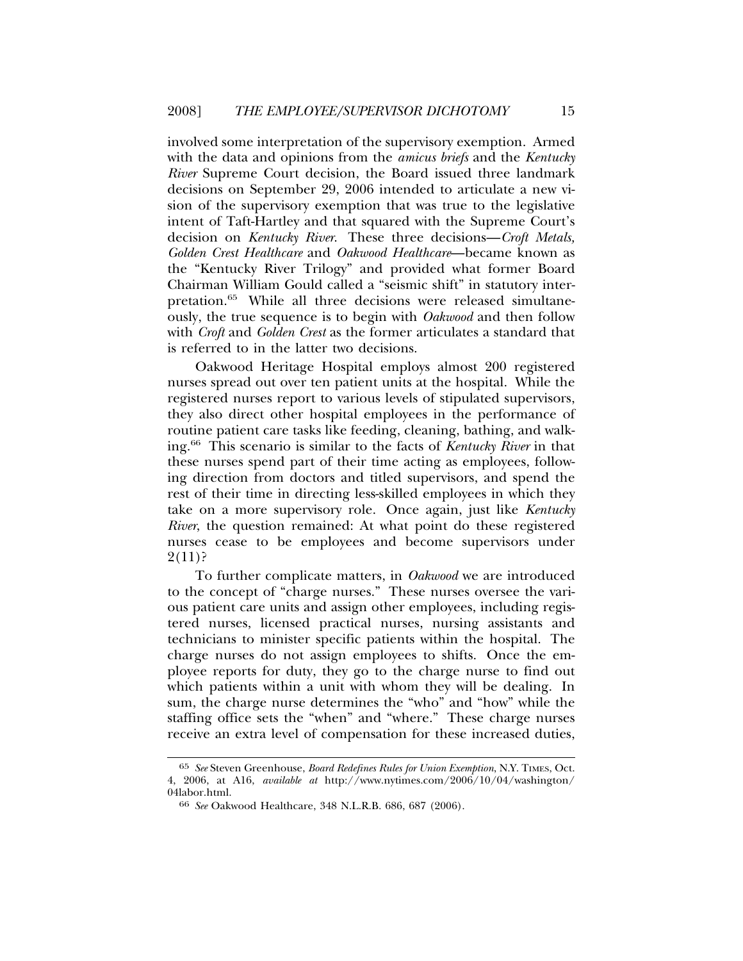involved some interpretation of the supervisory exemption. Armed with the data and opinions from the *amicus briefs* and the *Kentucky River* Supreme Court decision, the Board issued three landmark decisions on September 29, 2006 intended to articulate a new vision of the supervisory exemption that was true to the legislative intent of Taft-Hartley and that squared with the Supreme Court's decision on *Kentucky River*. These three decisions—*Croft Metals, Golden Crest Healthcare* and *Oakwood Healthcare*—became known as the "Kentucky River Trilogy" and provided what former Board Chairman William Gould called a "seismic shift" in statutory interpretation.<sup>65</sup> While all three decisions were released simultaneously, the true sequence is to begin with *Oakwood* and then follow with *Croft* and *Golden Crest* as the former articulates a standard that is referred to in the latter two decisions.

Oakwood Heritage Hospital employs almost 200 registered nurses spread out over ten patient units at the hospital. While the registered nurses report to various levels of stipulated supervisors, they also direct other hospital employees in the performance of routine patient care tasks like feeding, cleaning, bathing, and walking.66 This scenario is similar to the facts of *Kentucky River* in that these nurses spend part of their time acting as employees, following direction from doctors and titled supervisors, and spend the rest of their time in directing less-skilled employees in which they take on a more supervisory role. Once again, just like *Kentucky River*, the question remained: At what point do these registered nurses cease to be employees and become supervisors under  $2(11)$ ?

To further complicate matters, in *Oakwood* we are introduced to the concept of "charge nurses." These nurses oversee the various patient care units and assign other employees, including registered nurses, licensed practical nurses, nursing assistants and technicians to minister specific patients within the hospital. The charge nurses do not assign employees to shifts. Once the employee reports for duty, they go to the charge nurse to find out which patients within a unit with whom they will be dealing. In sum, the charge nurse determines the "who" and "how" while the staffing office sets the "when" and "where." These charge nurses receive an extra level of compensation for these increased duties,

<sup>65</sup> *See* Steven Greenhouse, *Board Redefines Rules for Union Exemption*, N.Y. TIMES, Oct. 4, 2006, at A16, *available at* http://www.nytimes.com/2006/10/04/washington/ 04labor.html.

<sup>66</sup> *See* Oakwood Healthcare, 348 N.L.R.B. 686, 687 (2006).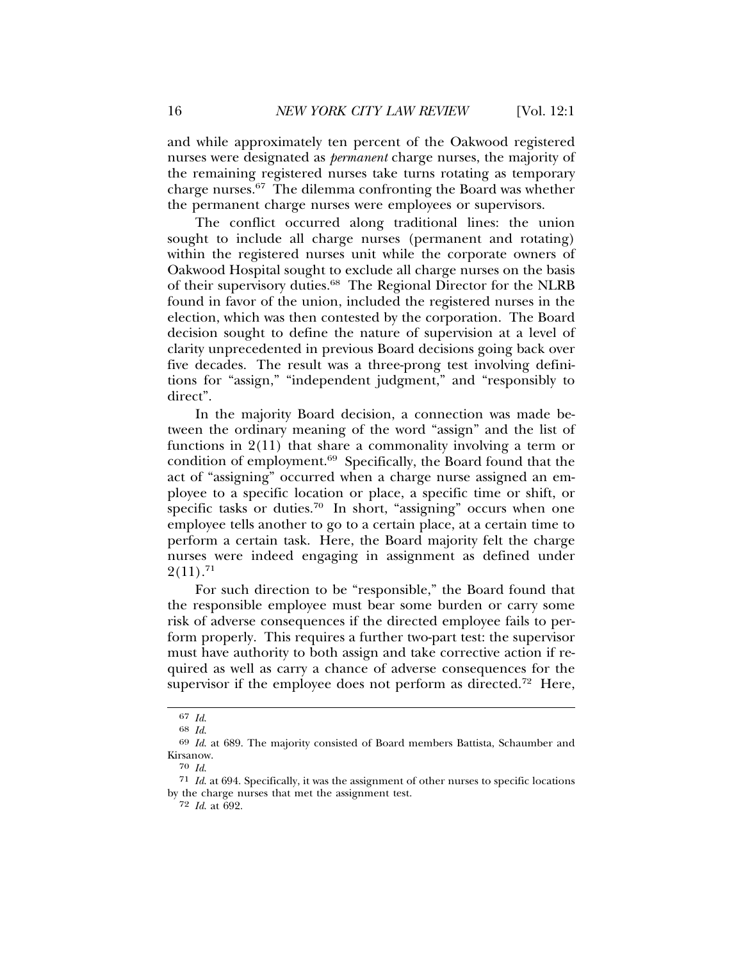and while approximately ten percent of the Oakwood registered nurses were designated as *permanent* charge nurses, the majority of the remaining registered nurses take turns rotating as temporary charge nurses.67 The dilemma confronting the Board was whether the permanent charge nurses were employees or supervisors.

The conflict occurred along traditional lines: the union sought to include all charge nurses (permanent and rotating) within the registered nurses unit while the corporate owners of Oakwood Hospital sought to exclude all charge nurses on the basis of their supervisory duties.68 The Regional Director for the NLRB found in favor of the union, included the registered nurses in the election, which was then contested by the corporation. The Board decision sought to define the nature of supervision at a level of clarity unprecedented in previous Board decisions going back over five decades. The result was a three-prong test involving definitions for "assign," "independent judgment," and "responsibly to direct".

In the majority Board decision, a connection was made between the ordinary meaning of the word "assign" and the list of functions in 2(11) that share a commonality involving a term or condition of employment.69 Specifically, the Board found that the act of "assigning" occurred when a charge nurse assigned an employee to a specific location or place, a specific time or shift, or specific tasks or duties.<sup>70</sup> In short, "assigning" occurs when one employee tells another to go to a certain place, at a certain time to perform a certain task. Here, the Board majority felt the charge nurses were indeed engaging in assignment as defined under  $2(11).^{71}$ 

For such direction to be "responsible," the Board found that the responsible employee must bear some burden or carry some risk of adverse consequences if the directed employee fails to perform properly. This requires a further two-part test: the supervisor must have authority to both assign and take corrective action if required as well as carry a chance of adverse consequences for the supervisor if the employee does not perform as directed.<sup>72</sup> Here,

72 *Id*. at 692.

<sup>67</sup> *Id*.

<sup>68</sup> *Id*.

<sup>69</sup> *Id*. at 689. The majority consisted of Board members Battista, Schaumber and Kirsanow.

<sup>70</sup> *Id*.

<sup>71</sup> *Id*. at 694. Specifically, it was the assignment of other nurses to specific locations by the charge nurses that met the assignment test.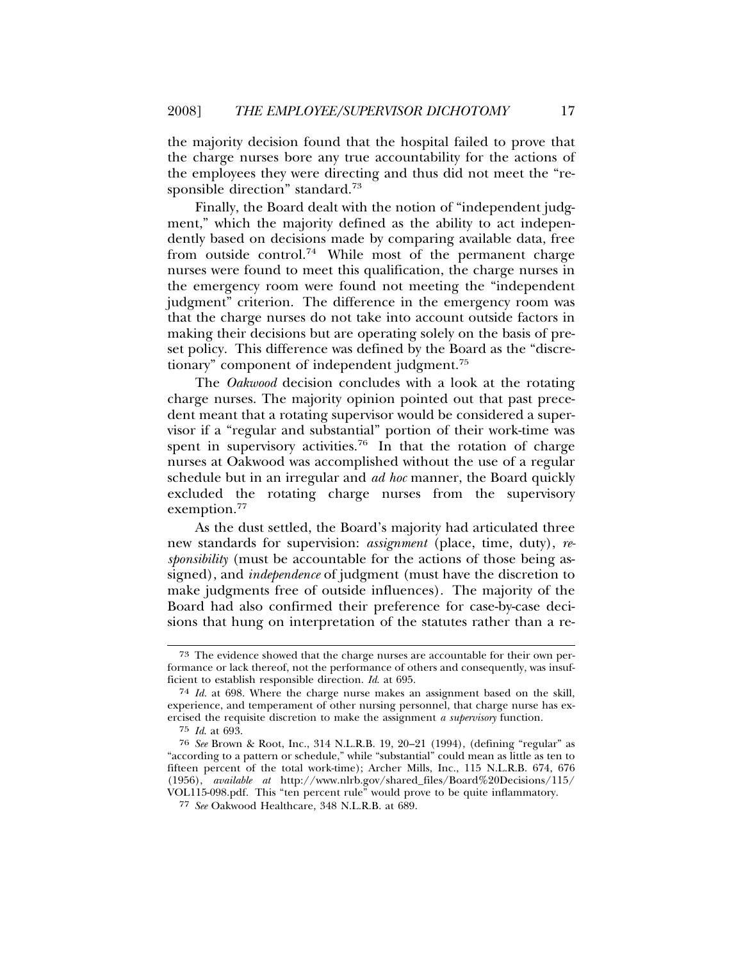the majority decision found that the hospital failed to prove that the charge nurses bore any true accountability for the actions of the employees they were directing and thus did not meet the "responsible direction" standard.73

Finally, the Board dealt with the notion of "independent judgment," which the majority defined as the ability to act independently based on decisions made by comparing available data, free from outside control.74 While most of the permanent charge nurses were found to meet this qualification, the charge nurses in the emergency room were found not meeting the "independent judgment" criterion. The difference in the emergency room was that the charge nurses do not take into account outside factors in making their decisions but are operating solely on the basis of preset policy. This difference was defined by the Board as the "discretionary" component of independent judgment.75

The *Oakwood* decision concludes with a look at the rotating charge nurses. The majority opinion pointed out that past precedent meant that a rotating supervisor would be considered a supervisor if a "regular and substantial" portion of their work-time was spent in supervisory activities.<sup>76</sup> In that the rotation of charge nurses at Oakwood was accomplished without the use of a regular schedule but in an irregular and *ad hoc* manner, the Board quickly excluded the rotating charge nurses from the supervisory exemption.<sup>77</sup>

As the dust settled, the Board's majority had articulated three new standards for supervision: *assignment* (place, time, duty), *responsibility* (must be accountable for the actions of those being assigned), and *independence* of judgment (must have the discretion to make judgments free of outside influences). The majority of the Board had also confirmed their preference for case-by-case decisions that hung on interpretation of the statutes rather than a re-

<sup>73</sup> The evidence showed that the charge nurses are accountable for their own performance or lack thereof, not the performance of others and consequently, was insufficient to establish responsible direction. *Id*. at 695.

<sup>74</sup> *Id.* at 698. Where the charge nurse makes an assignment based on the skill, experience, and temperament of other nursing personnel, that charge nurse has exercised the requisite discretion to make the assignment *a supervisory* function.

<sup>75</sup> *Id*. at 693.

<sup>76</sup> *See* Brown & Root, Inc., 314 N.L.R.B. 19, 20–21 (1994), (defining "regular" as "according to a pattern or schedule," while "substantial" could mean as little as ten to fifteen percent of the total work-time); Archer Mills, Inc., 115 N.L.R.B. 674, 676 (1956), *available at* http://www.nlrb.gov/shared\_files/Board%20Decisions/115/ VOL115-098.pdf. This "ten percent rule" would prove to be quite inflammatory.

<sup>77</sup> *See* Oakwood Healthcare, 348 N.L.R.B. at 689.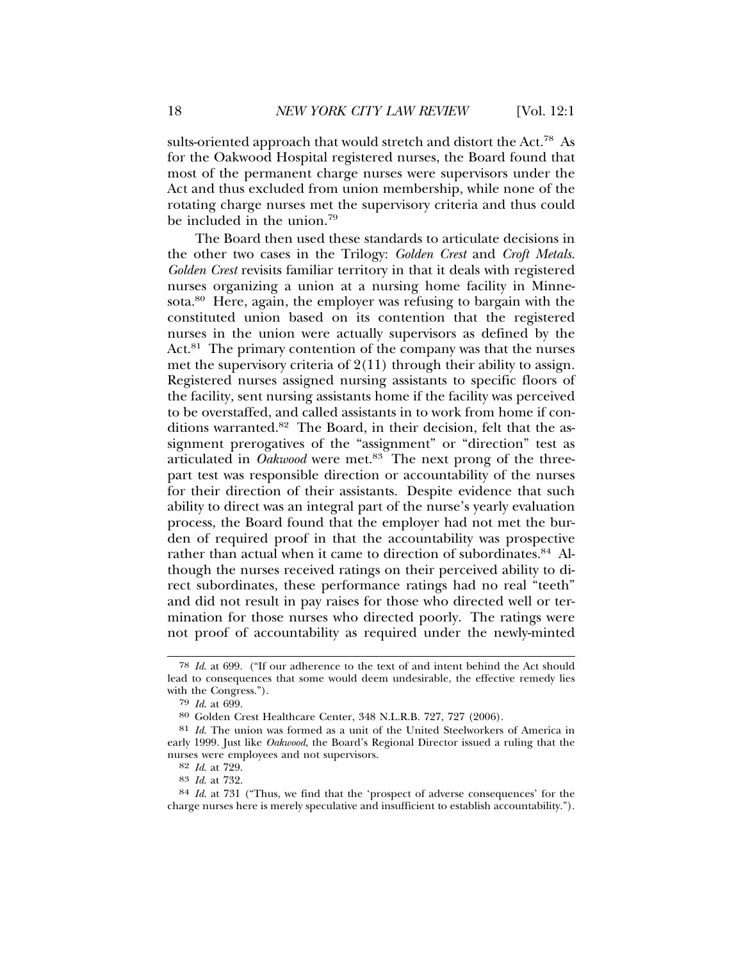sults-oriented approach that would stretch and distort the Act.78 As for the Oakwood Hospital registered nurses, the Board found that most of the permanent charge nurses were supervisors under the Act and thus excluded from union membership, while none of the rotating charge nurses met the supervisory criteria and thus could be included in the union.<sup>79</sup>

The Board then used these standards to articulate decisions in the other two cases in the Trilogy: *Golden Crest* and *Croft Metals*. *Golden Crest* revisits familiar territory in that it deals with registered nurses organizing a union at a nursing home facility in Minnesota.80 Here, again, the employer was refusing to bargain with the constituted union based on its contention that the registered nurses in the union were actually supervisors as defined by the Act.<sup>81</sup> The primary contention of the company was that the nurses met the supervisory criteria of  $2(11)$  through their ability to assign. Registered nurses assigned nursing assistants to specific floors of the facility, sent nursing assistants home if the facility was perceived to be overstaffed, and called assistants in to work from home if conditions warranted.<sup>82</sup> The Board, in their decision, felt that the assignment prerogatives of the "assignment" or "direction" test as articulated in *Oakwood* were met.<sup>83</sup> The next prong of the threepart test was responsible direction or accountability of the nurses for their direction of their assistants. Despite evidence that such ability to direct was an integral part of the nurse's yearly evaluation process, the Board found that the employer had not met the burden of required proof in that the accountability was prospective rather than actual when it came to direction of subordinates.<sup>84</sup> Although the nurses received ratings on their perceived ability to direct subordinates, these performance ratings had no real "teeth" and did not result in pay raises for those who directed well or termination for those nurses who directed poorly. The ratings were not proof of accountability as required under the newly-minted

<sup>78</sup> *Id*. at 699. ("If our adherence to the text of and intent behind the Act should lead to consequences that some would deem undesirable, the effective remedy lies with the Congress.").

<sup>79</sup> *Id*. at 699.

<sup>80</sup> Golden Crest Healthcare Center, 348 N.L.R.B. 727, 727 (2006).

<sup>81</sup> *Id*. The union was formed as a unit of the United Steelworkers of America in early 1999. Just like *Oakwood*, the Board's Regional Director issued a ruling that the nurses were employees and not supervisors.

<sup>82</sup> *Id*. at 729.

<sup>83</sup> *Id*. at 732.

<sup>84</sup> *Id*. at 731 ("Thus, we find that the 'prospect of adverse consequences' for the charge nurses here is merely speculative and insufficient to establish accountability.").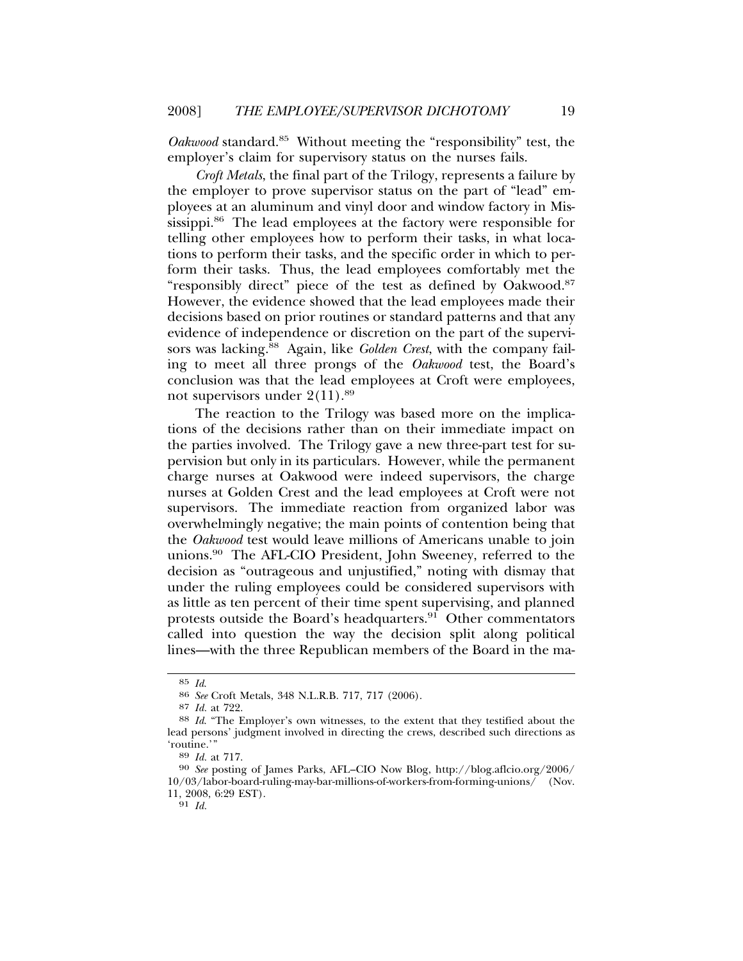*Oakwood* standard.<sup>85</sup> Without meeting the "responsibility" test, the employer's claim for supervisory status on the nurses fails.

*Croft Metals*, the final part of the Trilogy, represents a failure by the employer to prove supervisor status on the part of "lead" employees at an aluminum and vinyl door and window factory in Mississippi.86 The lead employees at the factory were responsible for telling other employees how to perform their tasks, in what locations to perform their tasks, and the specific order in which to perform their tasks. Thus, the lead employees comfortably met the "responsibly direct" piece of the test as defined by Oakwood.87 However, the evidence showed that the lead employees made their decisions based on prior routines or standard patterns and that any evidence of independence or discretion on the part of the supervisors was lacking.88 Again, like *Golden Crest*, with the company failing to meet all three prongs of the *Oakwood* test, the Board's conclusion was that the lead employees at Croft were employees, not supervisors under  $2(11).^{89}$ 

The reaction to the Trilogy was based more on the implications of the decisions rather than on their immediate impact on the parties involved. The Trilogy gave a new three-part test for supervision but only in its particulars. However, while the permanent charge nurses at Oakwood were indeed supervisors, the charge nurses at Golden Crest and the lead employees at Croft were not supervisors. The immediate reaction from organized labor was overwhelmingly negative; the main points of contention being that the *Oakwood* test would leave millions of Americans unable to join unions.90 The AFL-CIO President, John Sweeney, referred to the decision as "outrageous and unjustified," noting with dismay that under the ruling employees could be considered supervisors with as little as ten percent of their time spent supervising, and planned protests outside the Board's headquarters.<sup>91</sup> Other commentators called into question the way the decision split along political lines—with the three Republican members of the Board in the ma-

<sup>85</sup> *Id*. <sup>86</sup> *See* Croft Metals, 348 N.L.R.B. 717, 717 (2006).

<sup>88</sup> *Id.* "The Employer's own witnesses, to the extent that they testified about the lead persons' judgment involved in directing the crews, described such directions as 'routine.'" <sup>89</sup> *Id.* at 717. <sup>90</sup> *See* posting of James Parks, AFL–CIO Now Blog, http://blog.aflcio.org/2006/

<sup>10/03/</sup>labor-board-ruling-may-bar-millions-of-workers-from-forming-unions/ (Nov. 11, 2008, 6:29 EST).

<sup>91</sup> *Id.*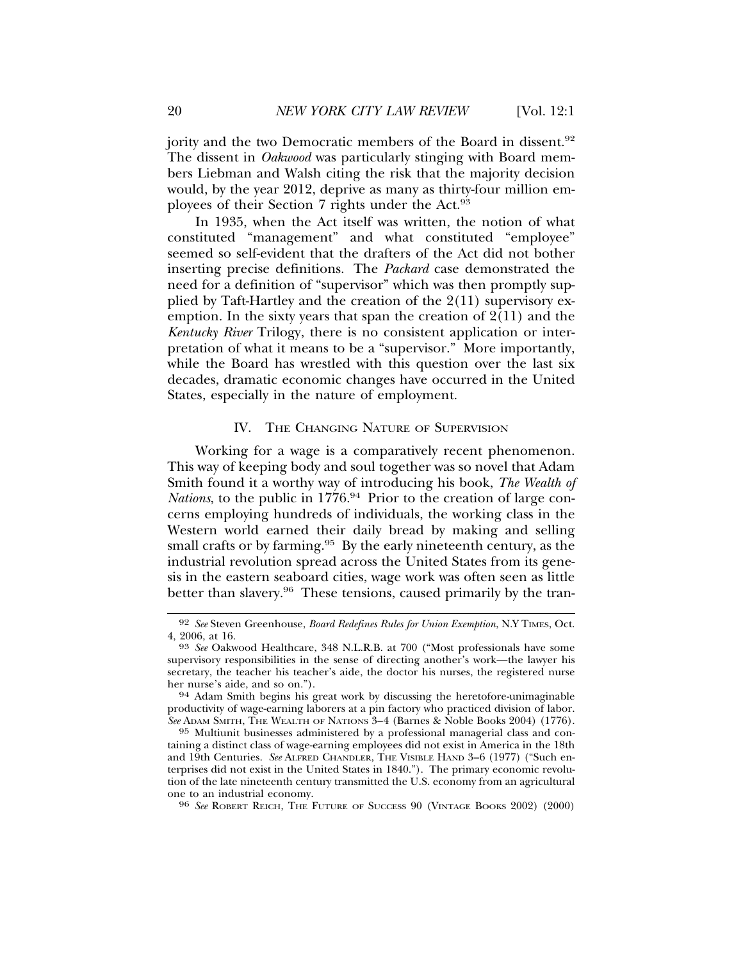jority and the two Democratic members of the Board in dissent.<sup>92</sup> The dissent in *Oakwood* was particularly stinging with Board members Liebman and Walsh citing the risk that the majority decision would, by the year 2012, deprive as many as thirty-four million employees of their Section 7 rights under the Act.<sup>93</sup>

In 1935, when the Act itself was written, the notion of what constituted "management" and what constituted "employee" seemed so self-evident that the drafters of the Act did not bother inserting precise definitions. The *Packard* case demonstrated the need for a definition of "supervisor" which was then promptly supplied by Taft-Hartley and the creation of the 2(11) supervisory exemption. In the sixty years that span the creation of  $2(11)$  and the *Kentucky River* Trilogy, there is no consistent application or interpretation of what it means to be a "supervisor." More importantly, while the Board has wrestled with this question over the last six decades, dramatic economic changes have occurred in the United States, especially in the nature of employment.

## IV. THE CHANGING NATURE OF SUPERVISION

Working for a wage is a comparatively recent phenomenon. This way of keeping body and soul together was so novel that Adam Smith found it a worthy way of introducing his book, *The Wealth of Nations*, to the public in 1776.<sup>94</sup> Prior to the creation of large concerns employing hundreds of individuals, the working class in the Western world earned their daily bread by making and selling small crafts or by farming.<sup>95</sup> By the early nineteenth century, as the industrial revolution spread across the United States from its genesis in the eastern seaboard cities, wage work was often seen as little better than slavery.<sup>96</sup> These tensions, caused primarily by the tran-

<sup>96</sup> See ROBERT REICH, THE FUTURE OF SUCCESS 90 (VINTAGE BOOKS 2002) (2000)

<sup>92</sup> *See* Steven Greenhouse, *Board Redefines Rules for Union Exemption*, N.Y TIMES, Oct. 4, 2006, at 16. <sup>93</sup> *See* Oakwood Healthcare, 348 N.L.R.B. at 700 ("Most professionals have some

supervisory responsibilities in the sense of directing another's work—the lawyer his secretary, the teacher his teacher's aide, the doctor his nurses, the registered nurse her nurse's aide, and so on.").<br><sup>94</sup> Adam Smith begins his great work by discussing the heretofore-unimaginable

productivity of wage-earning laborers at a pin factory who practiced division of labor. *See* ADAM SMITH, THE WEALTH OF NATIONS 3–4 (Barnes & Noble Books 2004) (1776).

<sup>95</sup> Multiunit businesses administered by a professional managerial class and containing a distinct class of wage-earning employees did not exist in America in the 18th and 19th Centuries. *See* ALFRED CHANDLER, THE VISIBLE HAND 3–6 (1977) ("Such enterprises did not exist in the United States in 1840."). The primary economic revolution of the late nineteenth century transmitted the U.S. economy from an agricultural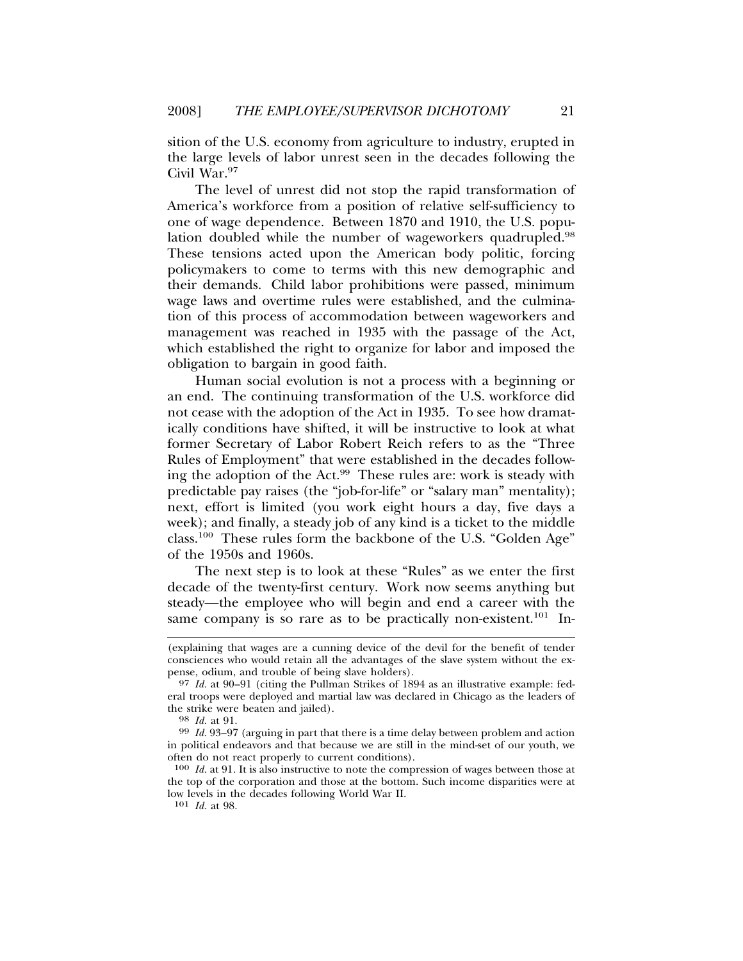sition of the U.S. economy from agriculture to industry, erupted in the large levels of labor unrest seen in the decades following the Civil War.97

The level of unrest did not stop the rapid transformation of America's workforce from a position of relative self-sufficiency to one of wage dependence. Between 1870 and 1910, the U.S. population doubled while the number of wageworkers quadrupled.<sup>98</sup> These tensions acted upon the American body politic, forcing policymakers to come to terms with this new demographic and their demands. Child labor prohibitions were passed, minimum wage laws and overtime rules were established, and the culmination of this process of accommodation between wageworkers and management was reached in 1935 with the passage of the Act, which established the right to organize for labor and imposed the obligation to bargain in good faith.

Human social evolution is not a process with a beginning or an end. The continuing transformation of the U.S. workforce did not cease with the adoption of the Act in 1935. To see how dramatically conditions have shifted, it will be instructive to look at what former Secretary of Labor Robert Reich refers to as the "Three Rules of Employment" that were established in the decades following the adoption of the Act.99 These rules are: work is steady with predictable pay raises (the "job-for-life" or "salary man" mentality); next, effort is limited (you work eight hours a day, five days a week); and finally, a steady job of any kind is a ticket to the middle class.100 These rules form the backbone of the U.S. "Golden Age" of the 1950s and 1960s.

The next step is to look at these "Rules" as we enter the first decade of the twenty-first century. Work now seems anything but steady—the employee who will begin and end a career with the same company is so rare as to be practically non-existent.<sup>101</sup> In-

<sup>(</sup>explaining that wages are a cunning device of the devil for the benefit of tender consciences who would retain all the advantages of the slave system without the expense, odium, and trouble of being slave holders).

<sup>97</sup> *Id.* at 90–91 (citing the Pullman Strikes of 1894 as an illustrative example: federal troops were deployed and martial law was declared in Chicago as the leaders of

<sup>&</sup>lt;sup>98</sup> *Id.* at 91. *Pathrong in part that there is a time delay between problem and action Pathrong Id.* 93–97 (arguing in part that there is a time delay between problem and action in political endeavors and that because we are still in the mind-set of our youth, we often do not react properly to current conditions).

<sup>100</sup> *Id.* at 91. It is also instructive to note the compression of wages between those at the top of the corporation and those at the bottom. Such income disparities were at low levels in the decades following World War II. 101 *Id.* at 98.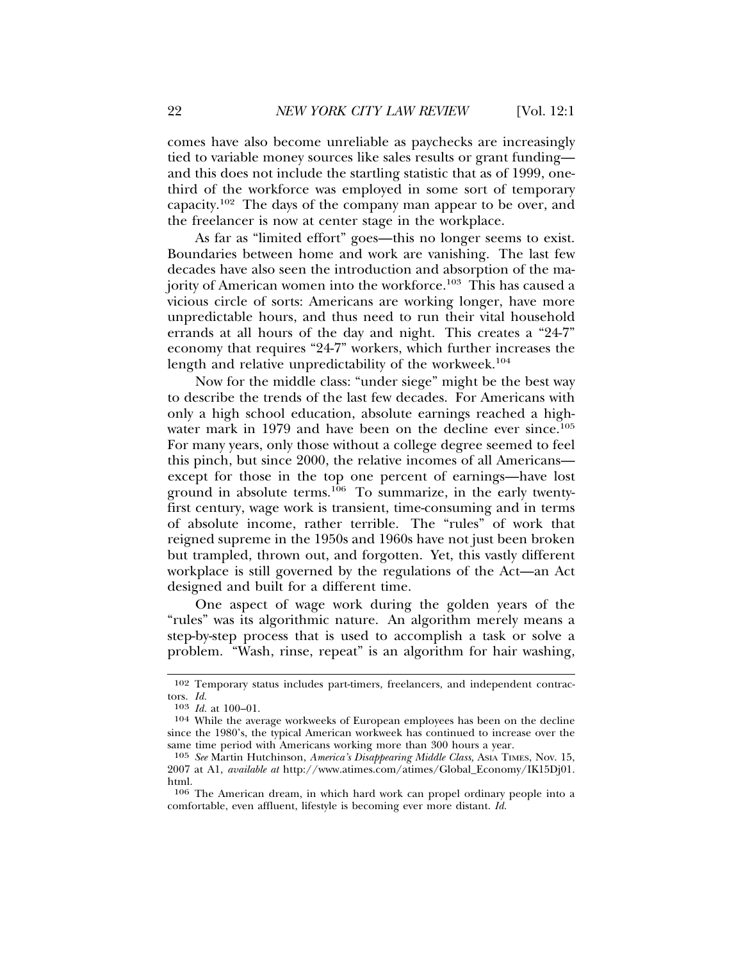comes have also become unreliable as paychecks are increasingly tied to variable money sources like sales results or grant funding and this does not include the startling statistic that as of 1999, onethird of the workforce was employed in some sort of temporary capacity.102 The days of the company man appear to be over, and the freelancer is now at center stage in the workplace.

As far as "limited effort" goes—this no longer seems to exist. Boundaries between home and work are vanishing. The last few decades have also seen the introduction and absorption of the majority of American women into the workforce.<sup>103</sup> This has caused a vicious circle of sorts: Americans are working longer, have more unpredictable hours, and thus need to run their vital household errands at all hours of the day and night. This creates a "24-7" economy that requires "24-7" workers, which further increases the length and relative unpredictability of the workweek.<sup>104</sup>

Now for the middle class: "under siege" might be the best way to describe the trends of the last few decades. For Americans with only a high school education, absolute earnings reached a highwater mark in 1979 and have been on the decline ever since.<sup>105</sup> For many years, only those without a college degree seemed to feel this pinch, but since 2000, the relative incomes of all Americans except for those in the top one percent of earnings—have lost ground in absolute terms.<sup>106</sup> To summarize, in the early twentyfirst century, wage work is transient, time-consuming and in terms of absolute income, rather terrible. The "rules" of work that reigned supreme in the 1950s and 1960s have not just been broken but trampled, thrown out, and forgotten. Yet, this vastly different workplace is still governed by the regulations of the Act—an Act designed and built for a different time.

One aspect of wage work during the golden years of the "rules" was its algorithmic nature. An algorithm merely means a step-by-step process that is used to accomplish a task or solve a problem. "Wash, rinse, repeat" is an algorithm for hair washing,

<sup>102</sup> Temporary status includes part-timers, freelancers, and independent contractors. *Id.*

<sup>103</sup> *Id.* at 100–01.

<sup>104</sup> While the average workweeks of European employees has been on the decline since the 1980's, the typical American workweek has continued to increase over the same time period with Americans working more than 300 hours a year.

<sup>105</sup> *See* Martin Hutchinson, *America's Disappearing Middle Class,* ASIA TIMES, Nov. 15, 2007 at A1, *available at* http://www.atimes.com/atimes/Global\_Economy/IK15Dj01. html.

<sup>106</sup> The American dream, in which hard work can propel ordinary people into a comfortable, even affluent, lifestyle is becoming ever more distant. *Id.*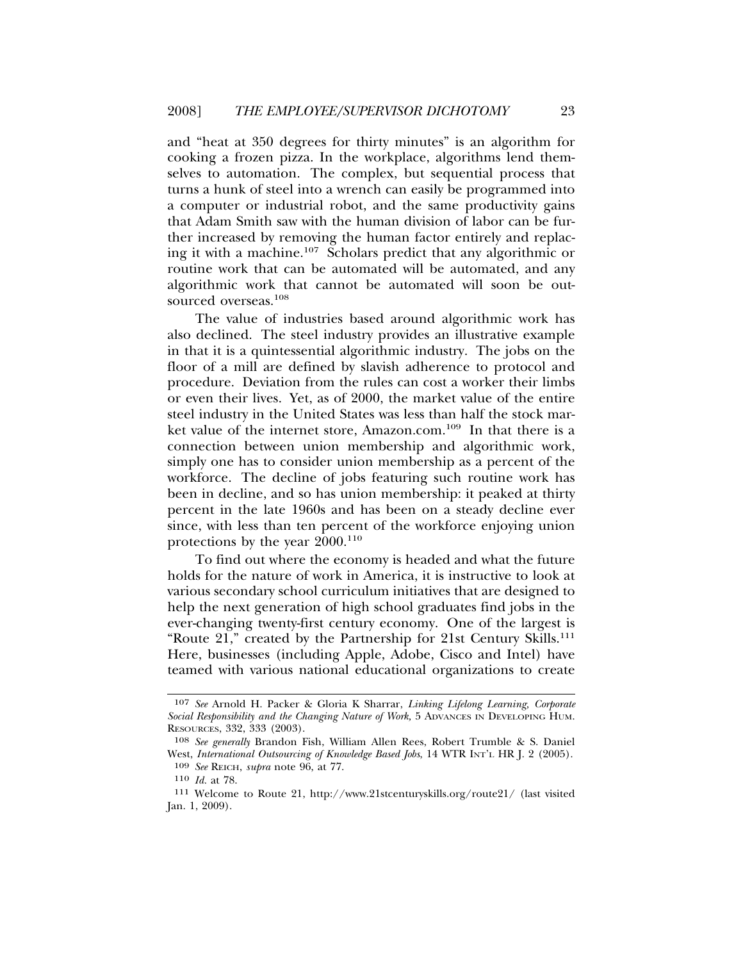and "heat at 350 degrees for thirty minutes" is an algorithm for cooking a frozen pizza. In the workplace, algorithms lend themselves to automation. The complex, but sequential process that turns a hunk of steel into a wrench can easily be programmed into a computer or industrial robot, and the same productivity gains that Adam Smith saw with the human division of labor can be further increased by removing the human factor entirely and replacing it with a machine.107 Scholars predict that any algorithmic or routine work that can be automated will be automated, and any algorithmic work that cannot be automated will soon be outsourced overseas.<sup>108</sup>

The value of industries based around algorithmic work has also declined. The steel industry provides an illustrative example in that it is a quintessential algorithmic industry. The jobs on the floor of a mill are defined by slavish adherence to protocol and procedure. Deviation from the rules can cost a worker their limbs or even their lives. Yet, as of 2000, the market value of the entire steel industry in the United States was less than half the stock market value of the internet store, Amazon.com.<sup>109</sup> In that there is a connection between union membership and algorithmic work, simply one has to consider union membership as a percent of the workforce. The decline of jobs featuring such routine work has been in decline, and so has union membership: it peaked at thirty percent in the late 1960s and has been on a steady decline ever since, with less than ten percent of the workforce enjoying union protections by the year  $2000$ .<sup>110</sup>

To find out where the economy is headed and what the future holds for the nature of work in America, it is instructive to look at various secondary school curriculum initiatives that are designed to help the next generation of high school graduates find jobs in the ever-changing twenty-first century economy. One of the largest is "Route 21," created by the Partnership for 21st Century Skills.111 Here, businesses (including Apple, Adobe, Cisco and Intel) have teamed with various national educational organizations to create

<sup>107</sup> *See* Arnold H. Packer & Gloria K Sharrar, *Linking Lifelong Learning, Corporate* Social Responsibility and the Changing Nature of Work, 5 ADVANCES IN DEVELOPING HUM. RESOURCES, 332, 333 (2003).

<sup>108</sup> *See generally* Brandon Fish, William Allen Rees, Robert Trumble & S. Daniel West, *International Outsourcing of Knowledge Based Jobs*, 14 WTR INT'L HR J. 2 (2005). 109 *See* REICH, *supra* note 96, at 77.

<sup>110</sup> *Id.* at 78.

<sup>111</sup> Welcome to Route 21, http://www.21stcenturyskills.org/route21/ (last visited Jan. 1, 2009).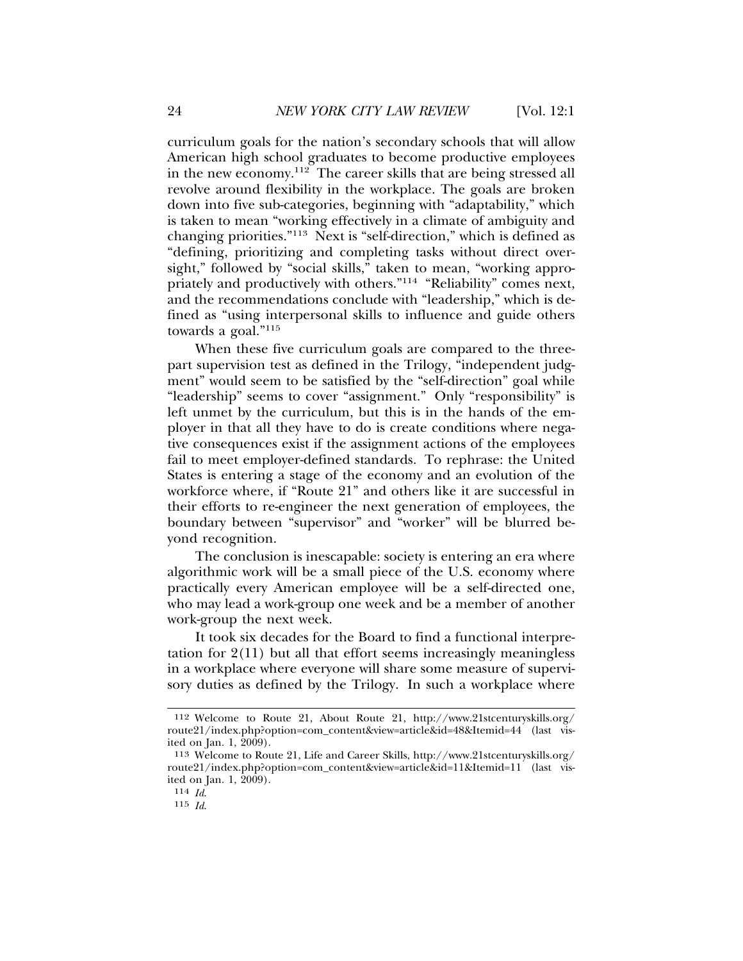curriculum goals for the nation's secondary schools that will allow American high school graduates to become productive employees in the new economy.112 The career skills that are being stressed all revolve around flexibility in the workplace. The goals are broken down into five sub-categories, beginning with "adaptability," which is taken to mean "working effectively in a climate of ambiguity and changing priorities."113 Next is "self-direction," which is defined as "defining, prioritizing and completing tasks without direct oversight," followed by "social skills," taken to mean, "working appropriately and productively with others."114 "Reliability" comes next, and the recommendations conclude with "leadership," which is defined as "using interpersonal skills to influence and guide others towards a goal."<sup>115</sup>

When these five curriculum goals are compared to the threepart supervision test as defined in the Trilogy, "independent judgment" would seem to be satisfied by the "self-direction" goal while "leadership" seems to cover "assignment." Only "responsibility" is left unmet by the curriculum, but this is in the hands of the employer in that all they have to do is create conditions where negative consequences exist if the assignment actions of the employees fail to meet employer-defined standards. To rephrase: the United States is entering a stage of the economy and an evolution of the workforce where, if "Route 21" and others like it are successful in their efforts to re-engineer the next generation of employees, the boundary between "supervisor" and "worker" will be blurred beyond recognition.

The conclusion is inescapable: society is entering an era where algorithmic work will be a small piece of the U.S. economy where practically every American employee will be a self-directed one, who may lead a work-group one week and be a member of another work-group the next week.

It took six decades for the Board to find a functional interpretation for  $2(11)$  but all that effort seems increasingly meaningless in a workplace where everyone will share some measure of supervisory duties as defined by the Trilogy. In such a workplace where

<sup>112</sup> Welcome to Route 21, About Route 21, http://www.21stcenturyskills.org/ route21/index.php?option=com\_content&view=article&id=48&Itemid=44 (last visited on Jan. 1, 2009).

<sup>113</sup> Welcome to Route 21, Life and Career Skills, http://www.21stcenturyskills.org/ route21/index.php?option=com\_content&view=article&id=11&Itemid=11 (last visited on Jan. 1, 2009).

<sup>114</sup> *Id*.

<sup>115</sup> *Id*.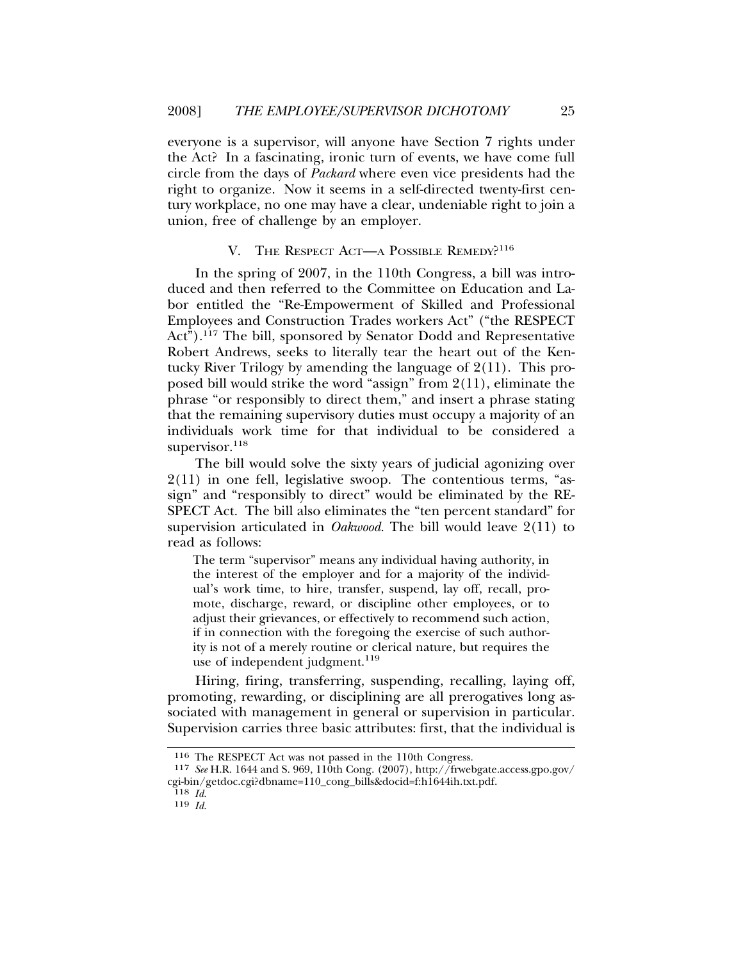everyone is a supervisor, will anyone have Section 7 rights under the Act? In a fascinating, ironic turn of events, we have come full circle from the days of *Packard* where even vice presidents had the right to organize. Now it seems in a self-directed twenty-first century workplace, no one may have a clear, undeniable right to join a union, free of challenge by an employer.

#### V. THE RESPECT ACT—A POSSIBLE REMEDY?<sup>116</sup>

In the spring of 2007, in the 110th Congress, a bill was introduced and then referred to the Committee on Education and Labor entitled the "Re-Empowerment of Skilled and Professional Employees and Construction Trades workers Act" ("the RESPECT  $Act<sup>7</sup>)$ .<sup>117</sup> The bill, sponsored by Senator Dodd and Representative Robert Andrews, seeks to literally tear the heart out of the Kentucky River Trilogy by amending the language of 2(11). This proposed bill would strike the word "assign" from 2(11), eliminate the phrase "or responsibly to direct them," and insert a phrase stating that the remaining supervisory duties must occupy a majority of an individuals work time for that individual to be considered a supervisor.<sup>118</sup>

The bill would solve the sixty years of judicial agonizing over 2(11) in one fell, legislative swoop. The contentious terms, "assign" and "responsibly to direct" would be eliminated by the RE-SPECT Act. The bill also eliminates the "ten percent standard" for supervision articulated in *Oakwood*. The bill would leave 2(11) to read as follows:

The term "supervisor" means any individual having authority, in the interest of the employer and for a majority of the individual's work time, to hire, transfer, suspend, lay off, recall, promote, discharge, reward, or discipline other employees, or to adjust their grievances, or effectively to recommend such action, if in connection with the foregoing the exercise of such authority is not of a merely routine or clerical nature, but requires the use of independent judgment.<sup>119</sup>

Hiring, firing, transferring, suspending, recalling, laying off, promoting, rewarding, or disciplining are all prerogatives long associated with management in general or supervision in particular. Supervision carries three basic attributes: first, that the individual is

<sup>116</sup> The RESPECT Act was not passed in the 110th Congress.

<sup>117</sup> *See* H.R. 1644 and S. 969, 110th Cong. (2007), http://frwebgate.access.gpo.gov/ cgi-bin/getdoc.cgi?dbname=110\_cong\_bills&docid=f:h1644ih.txt.pdf.

<sup>118</sup> *Id*. <sup>119</sup> *Id*.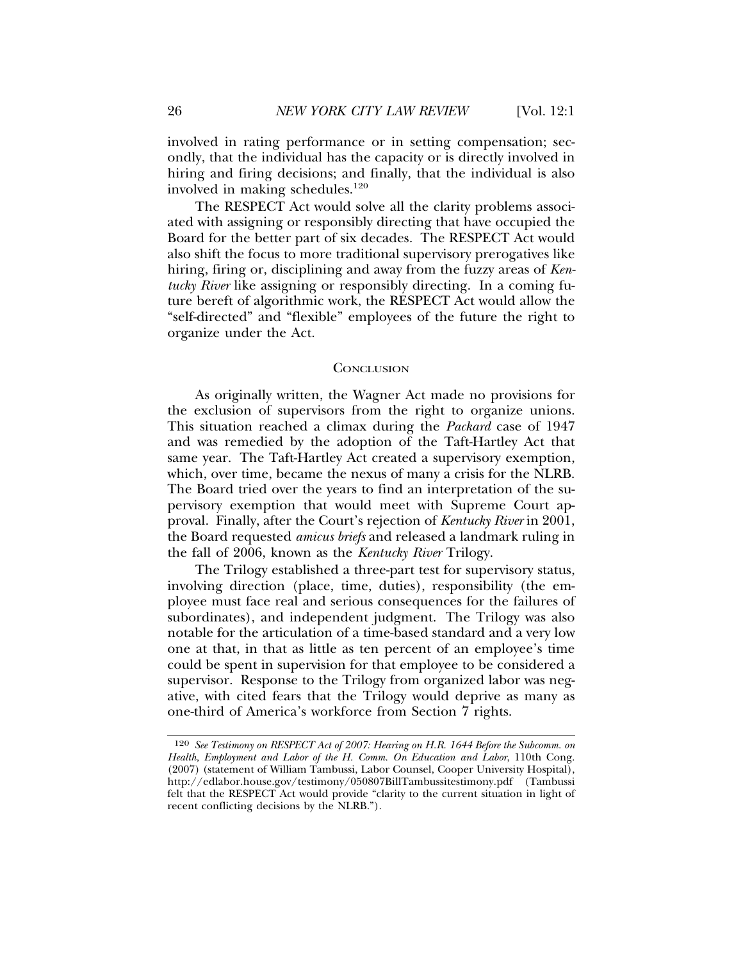involved in rating performance or in setting compensation; secondly, that the individual has the capacity or is directly involved in hiring and firing decisions; and finally, that the individual is also involved in making schedules.120

The RESPECT Act would solve all the clarity problems associated with assigning or responsibly directing that have occupied the Board for the better part of six decades. The RESPECT Act would also shift the focus to more traditional supervisory prerogatives like hiring, firing or, disciplining and away from the fuzzy areas of *Kentucky River* like assigning or responsibly directing. In a coming future bereft of algorithmic work, the RESPECT Act would allow the "self-directed" and "flexible" employees of the future the right to organize under the Act.

#### **CONCLUSION**

As originally written, the Wagner Act made no provisions for the exclusion of supervisors from the right to organize unions. This situation reached a climax during the *Packard* case of 1947 and was remedied by the adoption of the Taft-Hartley Act that same year. The Taft-Hartley Act created a supervisory exemption, which, over time, became the nexus of many a crisis for the NLRB. The Board tried over the years to find an interpretation of the supervisory exemption that would meet with Supreme Court approval. Finally, after the Court's rejection of *Kentucky River* in 2001, the Board requested *amicus briefs* and released a landmark ruling in the fall of 2006, known as the *Kentucky River* Trilogy.

The Trilogy established a three-part test for supervisory status, involving direction (place, time, duties), responsibility (the employee must face real and serious consequences for the failures of subordinates), and independent judgment. The Trilogy was also notable for the articulation of a time-based standard and a very low one at that, in that as little as ten percent of an employee's time could be spent in supervision for that employee to be considered a supervisor. Response to the Trilogy from organized labor was negative, with cited fears that the Trilogy would deprive as many as one-third of America's workforce from Section 7 rights.

<sup>120</sup> *See Testimony on RESPECT Act of 2007: Hearing on H.R. 1644 Before the Subcomm. on Health, Employment and Labor of the H. Comm. On Education and Labor*, 110th Cong. (2007) (statement of William Tambussi, Labor Counsel, Cooper University Hospital), http://edlabor.house.gov/testimony/050807BillTambussitestimony.pdf (Tambussi felt that the RESPECT Act would provide "clarity to the current situation in light of recent conflicting decisions by the NLRB.").